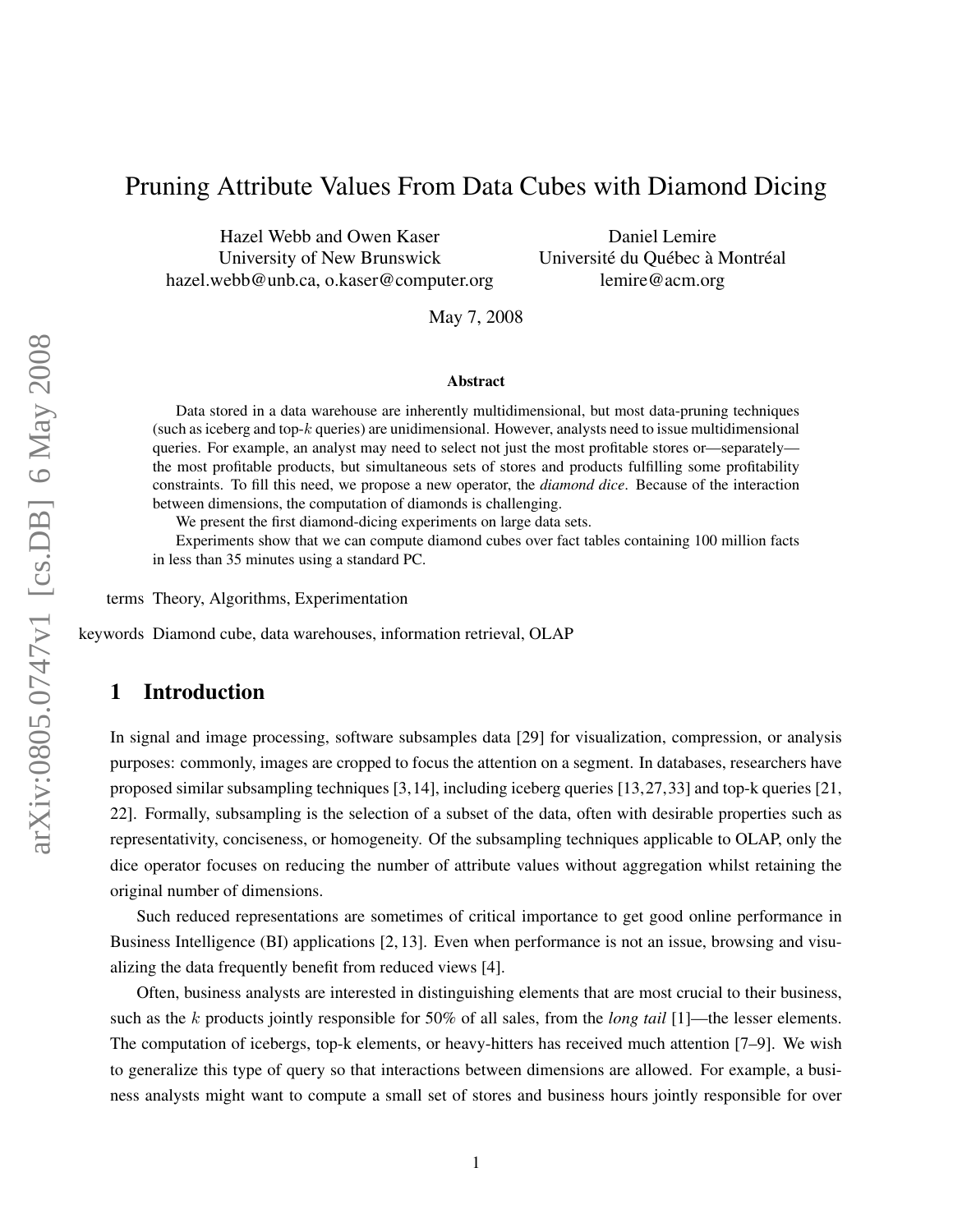# Pruning Attribute Values From Data Cubes with Diamond Dicing

Hazel Webb and Owen Kaser University of New Brunswick hazel.webb@unb.ca, o.kaser@computer.org

Daniel Lemire Université du Québec à Montréal lemire@acm.org

May 7, 2008

#### Abstract

Data stored in a data warehouse are inherently multidimensional, but most data-pruning techniques (such as iceberg and top-k queries) are unidimensional. However, analysts need to issue multidimensional queries. For example, an analyst may need to select not just the most profitable stores or—separately the most profitable products, but simultaneous sets of stores and products fulfilling some profitability constraints. To fill this need, we propose a new operator, the *diamond dice*. Because of the interaction between dimensions, the computation of diamonds is challenging.

We present the first diamond-dicing experiments on large data sets.

Experiments show that we can compute diamond cubes over fact tables containing 100 million facts in less than 35 minutes using a standard PC.

terms Theory, Algorithms, Experimentation

keywords Diamond cube, data warehouses, information retrieval, OLAP

# 1 Introduction

In signal and image processing, software subsamples data [29] for visualization, compression, or analysis purposes: commonly, images are cropped to focus the attention on a segment. In databases, researchers have proposed similar subsampling techniques [3,14], including iceberg queries [13,27,33] and top-k queries [21, 22]. Formally, subsampling is the selection of a subset of the data, often with desirable properties such as representativity, conciseness, or homogeneity. Of the subsampling techniques applicable to OLAP, only the dice operator focuses on reducing the number of attribute values without aggregation whilst retaining the original number of dimensions.

Such reduced representations are sometimes of critical importance to get good online performance in Business Intelligence (BI) applications [2, 13]. Even when performance is not an issue, browsing and visualizing the data frequently benefit from reduced views [4].

Often, business analysts are interested in distinguishing elements that are most crucial to their business, such as the k products jointly responsible for 50% of all sales, from the *long tail* [1]—the lesser elements. The computation of icebergs, top-k elements, or heavy-hitters has received much attention [7–9]. We wish to generalize this type of query so that interactions between dimensions are allowed. For example, a business analysts might want to compute a small set of stores and business hours jointly responsible for over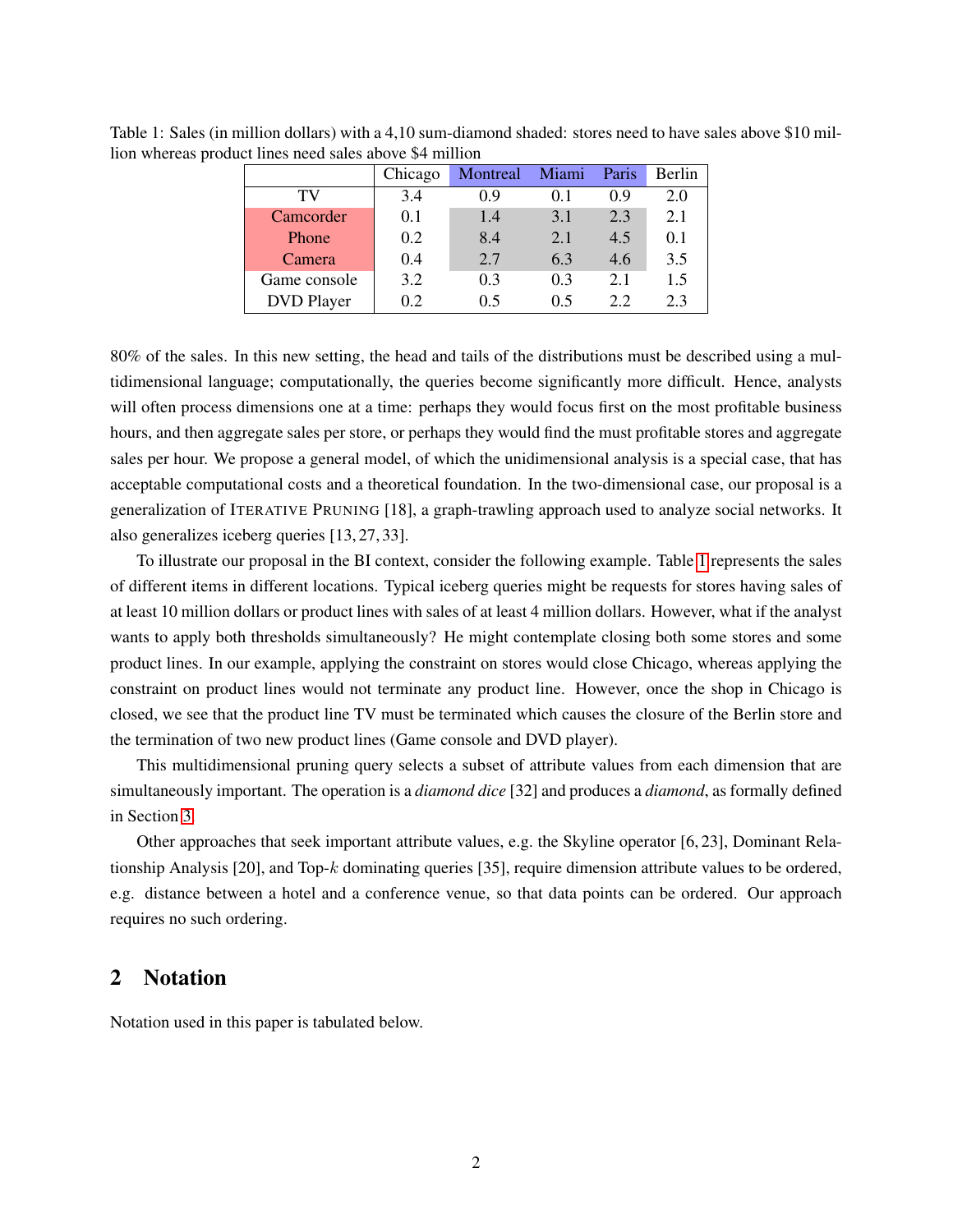|                   | Chicago | Montreal | Miami | Paris | Berlin |
|-------------------|---------|----------|-------|-------|--------|
| TV                | 3.4     | 0.9      | 0.1   | 0.9   | 2.0    |
| Camcorder         | 0.1     | 1.4      | 3.1   | 2.3   | 2.1    |
| Phone             | 0.2     | 8.4      | 2.1   | 4.5   | 0.1    |
| Camera            | 0.4     | 2.7      | 6.3   | 4.6   | 3.5    |
| Game console      | 3.2     | 0.3      | 0.3   | 2.1   | 1.5    |
| <b>DVD</b> Player | 0.2     | 0.5      | 05    | 22    | 2.3    |

<span id="page-1-0"></span>Table 1: Sales (in million dollars) with a 4,10 sum-diamond shaded: stores need to have sales above \$10 million whereas product lines need sales above \$4 million

80% of the sales. In this new setting, the head and tails of the distributions must be described using a multidimensional language; computationally, the queries become significantly more difficult. Hence, analysts will often process dimensions one at a time: perhaps they would focus first on the most profitable business hours, and then aggregate sales per store, or perhaps they would find the must profitable stores and aggregate sales per hour. We propose a general model, of which the unidimensional analysis is a special case, that has acceptable computational costs and a theoretical foundation. In the two-dimensional case, our proposal is a generalization of ITERATIVE PRUNING [18], a graph-trawling approach used to analyze social networks. It also generalizes iceberg queries [13, 27, 33].

To illustrate our proposal in the BI context, consider the following example. Table [1](#page-1-0) represents the sales of different items in different locations. Typical iceberg queries might be requests for stores having sales of at least 10 million dollars or product lines with sales of at least 4 million dollars. However, what if the analyst wants to apply both thresholds simultaneously? He might contemplate closing both some stores and some product lines. In our example, applying the constraint on stores would close Chicago, whereas applying the constraint on product lines would not terminate any product line. However, once the shop in Chicago is closed, we see that the product line TV must be terminated which causes the closure of the Berlin store and the termination of two new product lines (Game console and DVD player).

This multidimensional pruning query selects a subset of attribute values from each dimension that are simultaneously important. The operation is a *diamond dice* [32] and produces a *diamond*, as formally defined in Section [3.](#page-2-0)

Other approaches that seek important attribute values, e.g. the Skyline operator [6, 23], Dominant Relationship Analysis [20], and Top-k dominating queries [35], require dimension attribute values to be ordered, e.g. distance between a hotel and a conference venue, so that data points can be ordered. Our approach requires no such ordering.

# 2 Notation

Notation used in this paper is tabulated below.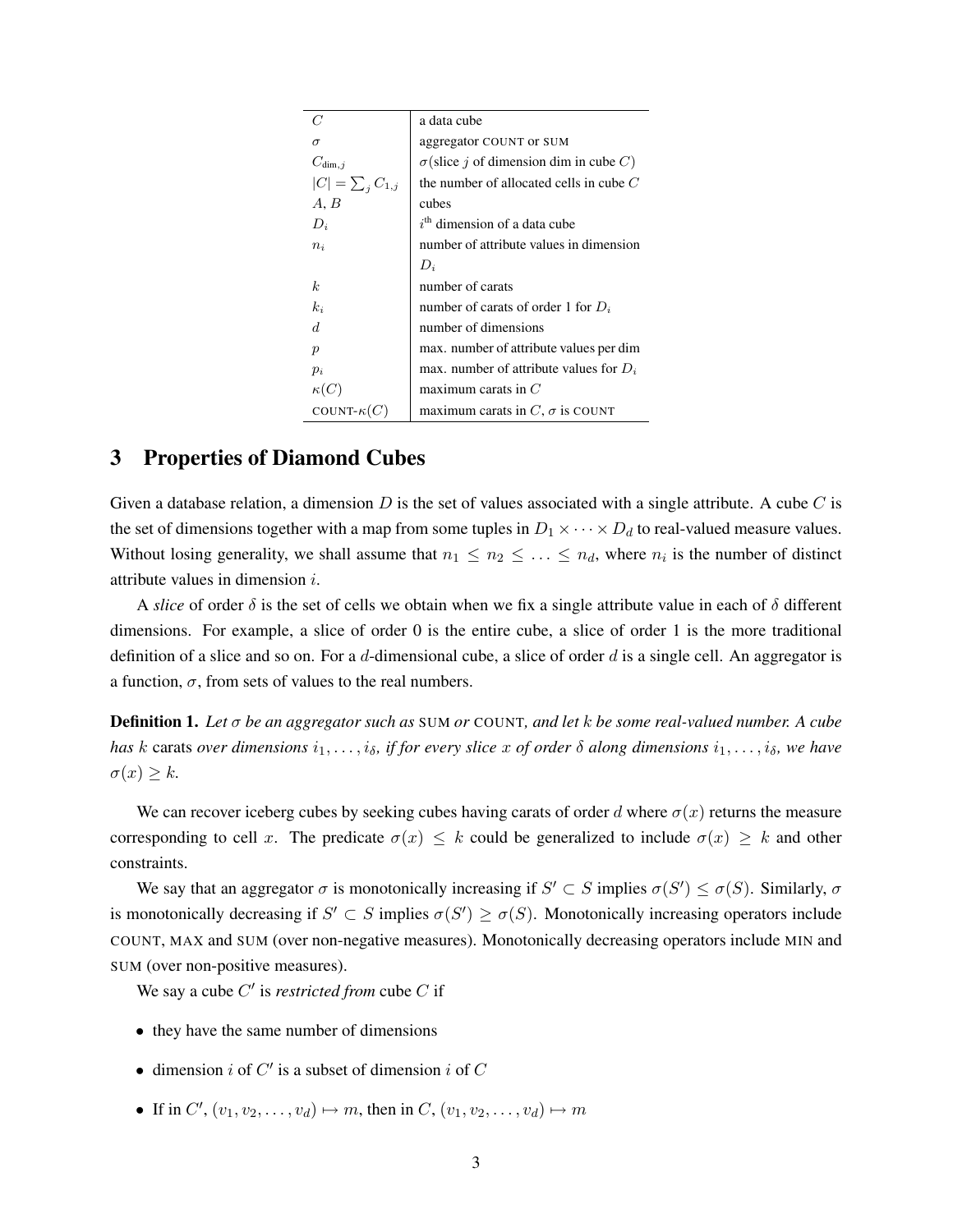|                          | a data cube                                          |
|--------------------------|------------------------------------------------------|
| $\sigma$                 | aggregator COUNT or SUM                              |
| $C_{\dim, i}$            | $\sigma$ (slice <i>i</i> of dimension dim in cube C) |
| $ C  = \sum_{i} C_{1,i}$ | the number of allocated cells in cube $C$            |
| A, B                     | cubes                                                |
| $D_i$                    | $ith$ dimension of a data cube                       |
| $n_i$                    | number of attribute values in dimension              |
|                          | $D_i$                                                |
| k                        | number of carats                                     |
| $k_i$                    | number of carats of order 1 for $D_i$                |
| $\overline{d}$           | number of dimensions                                 |
| $\boldsymbol{p}$         | max. number of attribute values per dim              |
| $p_i$                    | max. number of attribute values for $D_i$            |
| $\kappa(C)$              | maximum carats in $C$                                |
| COUNT- $\kappa(C)$       | maximum carats in $C$ , $\sigma$ is COUNT            |
|                          |                                                      |

## <span id="page-2-0"></span>3 Properties of Diamond Cubes

Given a database relation, a dimension  $D$  is the set of values associated with a single attribute. A cube  $C$  is the set of dimensions together with a map from some tuples in  $D_1 \times \cdots \times D_d$  to real-valued measure values. Without losing generality, we shall assume that  $n_1 \leq n_2 \leq \ldots \leq n_d$ , where  $n_i$  is the number of distinct attribute values in dimension i.

A *slice* of order  $\delta$  is the set of cells we obtain when we fix a single attribute value in each of  $\delta$  different dimensions. For example, a slice of order 0 is the entire cube, a slice of order 1 is the more traditional definition of a slice and so on. For a d-dimensional cube, a slice of order  $d$  is a single cell. An aggregator is a function,  $\sigma$ , from sets of values to the real numbers.

Definition 1. *Let* σ *be an aggregator such as* SUM *or* COUNT*, and let* k *be some real-valued number. A cube has* k carats *over dimensions*  $i_1, \ldots, i_\delta$ , *if for every slice* x *of order*  $\delta$  *along dimensions*  $i_1, \ldots, i_\delta$ , we have  $\sigma(x) \geq k$ .

We can recover iceberg cubes by seeking cubes having carats of order d where  $\sigma(x)$  returns the measure corresponding to cell x. The predicate  $\sigma(x) \leq k$  could be generalized to include  $\sigma(x) \geq k$  and other constraints.

We say that an aggregator  $\sigma$  is monotonically increasing if  $S' \subset S$  implies  $\sigma(S') \leq \sigma(S)$ . Similarly,  $\sigma$ is monotonically decreasing if  $S' \subset S$  implies  $\sigma(S') \geq \sigma(S)$ . Monotonically increasing operators include COUNT, MAX and SUM (over non-negative measures). Monotonically decreasing operators include MIN and SUM (over non-positive measures).

We say a cube  $C'$  is *restricted from* cube  $C$  if

- they have the same number of dimensions
- dimension i of  $C'$  is a subset of dimension i of  $C$
- If in  $C'$ ,  $(v_1, v_2, \ldots, v_d) \mapsto m$ , then in  $C$ ,  $(v_1, v_2, \ldots, v_d) \mapsto m$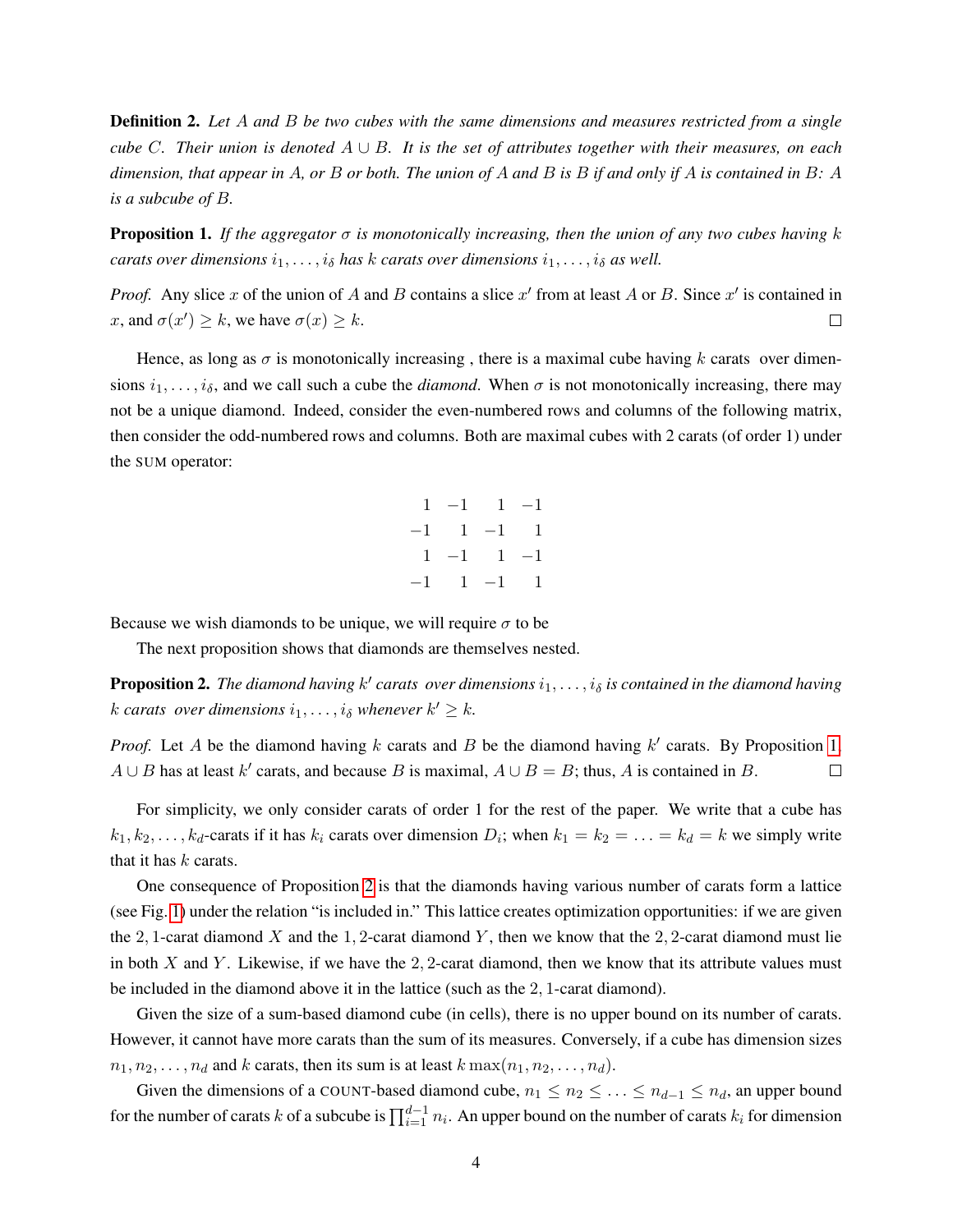Definition 2. *Let* A *and* B *be two cubes with the same dimensions and measures restricted from a single cube* C*. Their union is denoted* A ∪ B*. It is the set of attributes together with their measures, on each dimension, that appear in* A*, or* B *or both. The union of* A *and* B *is* B *if and only if* A *is contained in* B*:* A *is a subcube of* B*.*

<span id="page-3-0"></span>**Proposition 1.** If the aggregator  $\sigma$  is monotonically increasing, then the union of any two cubes having k *carats over dimensions*  $i_1, \ldots, i_\delta$  *has k carats over dimensions*  $i_1, \ldots, i_\delta$  *as well.* 

*Proof.* Any slice x of the union of A and B contains a slice  $x'$  from at least A or B. Since  $x'$  is contained in x, and  $\sigma(x') \geq k$ , we have  $\sigma(x) \geq k$ .  $\Box$ 

Hence, as long as  $\sigma$  is monotonically increasing, there is a maximal cube having k carats over dimensions  $i_1, \ldots, i_\delta$ , and we call such a cube the *diamond*. When  $\sigma$  is not monotonically increasing, there may not be a unique diamond. Indeed, consider the even-numbered rows and columns of the following matrix, then consider the odd-numbered rows and columns. Both are maximal cubes with 2 carats (of order 1) under the SUM operator:

|  | $1 -1$ $1 -1$ |  |
|--|---------------|--|
|  | $-1$ 1 $-1$ 1 |  |
|  | $1 -1$ $1 -1$ |  |
|  | $-1$ 1 $-1$ 1 |  |

Because we wish diamonds to be unique, we will require  $\sigma$  to be

The next proposition shows that diamonds are themselves nested.

<span id="page-3-1"></span>**Proposition 2.** The diamond having  $k'$  carats over dimensions  $i_1, \ldots, i_\delta$  is contained in the diamond having k carats over dimensions  $i_1, \ldots, i_\delta$  whenever  $k' \geq k$ .

*Proof.* Let A be the diamond having  $k$  carats and  $B$  be the diamond having  $k'$  carats. By Proposition [1,](#page-3-0)  $A \cup B$  has at least k' carats, and because B is maximal,  $A \cup B = B$ ; thus, A is contained in B.  $\Box$ 

For simplicity, we only consider carats of order 1 for the rest of the paper. We write that a cube has  $k_1, k_2, \ldots, k_d$ -carats if it has  $k_i$  carats over dimension  $D_i$ ; when  $k_1 = k_2 = \ldots = k_d = k$  we simply write that it has  $k$  carats.

One consequence of Proposition [2](#page-3-1) is that the diamonds having various number of carats form a lattice (see Fig. [1\)](#page-4-0) under the relation "is included in." This lattice creates optimization opportunities: if we are given the 2, 1-carat diamond X and the 1, 2-carat diamond Y, then we know that the 2, 2-carat diamond must lie in both X and Y. Likewise, if we have the 2, 2-carat diamond, then we know that its attribute values must be included in the diamond above it in the lattice (such as the 2, 1-carat diamond).

Given the size of a sum-based diamond cube (in cells), there is no upper bound on its number of carats. However, it cannot have more carats than the sum of its measures. Conversely, if a cube has dimension sizes  $n_1, n_2, \ldots, n_d$  and k carats, then its sum is at least  $k \max(n_1, n_2, \ldots, n_d)$ .

Given the dimensions of a COUNT-based diamond cube,  $n_1 \leq n_2 \leq \ldots \leq n_{d-1} \leq n_d$ , an upper bound for the number of carats k of a subcube is  $\prod_{i=1}^{d-1} n_i$ . An upper bound on the number of carats  $k_i$  for dimension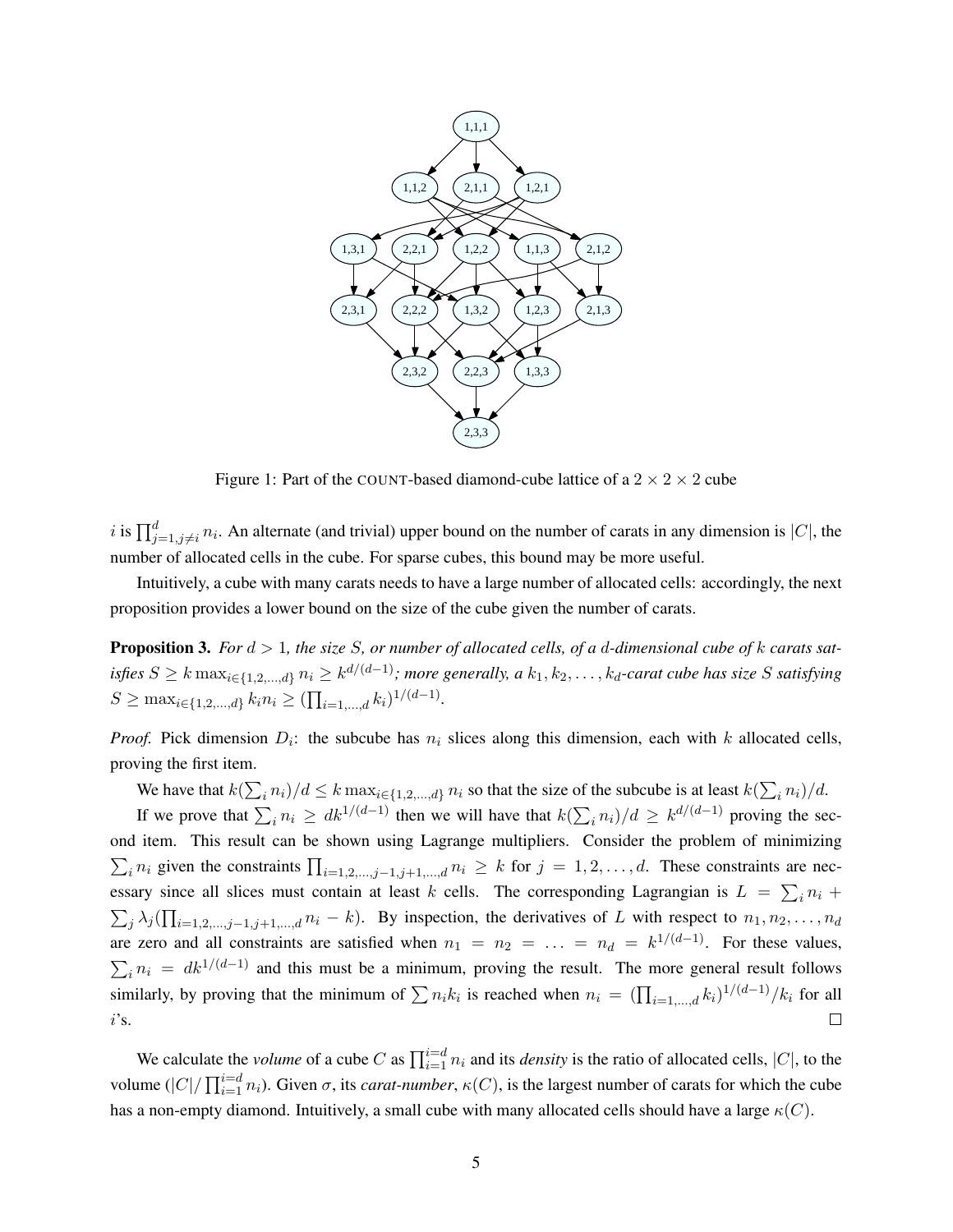

<span id="page-4-0"></span>Figure 1: Part of the COUNT-based diamond-cube lattice of a  $2 \times 2 \times 2$  cube

i is  $\prod_{j=1,j\neq i}^{d} n_i$ . An alternate (and trivial) upper bound on the number of carats in any dimension is  $|C|$ , the number of allocated cells in the cube. For sparse cubes, this bound may be more useful.

Intuitively, a cube with many carats needs to have a large number of allocated cells: accordingly, the next proposition provides a lower bound on the size of the cube given the number of carats.

<span id="page-4-1"></span>Proposition 3. *For*  $d > 1$ *, the size S, or number of allocated cells, of a d-dimensional cube of k carats satisfies*  $S \ge k \max_{i \in \{1,2,...,d\}} n_i \ge k^{d/(d-1)}$ ; more generally, a  $k_1, k_2,..., k_d$ -carat cube has size S satisfying  $S \ge \max_{i \in \{1, 2, ..., d\}} k_i n_i \ge (\prod_{i=1, ..., d} k_i)^{1/(d-1)}$ .

*Proof.* Pick dimension  $D_i$ : the subcube has  $n_i$  slices along this dimension, each with k allocated cells, proving the first item.

We have that  $k(\sum_i n_i)/d \leq k \max_{i \in \{1,2,\dots,d\}} n_i$  so that the size of the subcube is at least  $k(\sum_i n_i)/d$ .

If we prove that  $\sum_i n_i \geq dk^{1/(d-1)}$  then we will have that  $k(\sum_i n_i)/d \geq k^{d/(d-1)}$  proving the second item. This result can be shown using Lagrange multipliers. Consider the problem of minimizing  $\sum_i n_i$  given the constraints  $\prod_{i=1,2,\dots,j-1,j+1,\dots,d} n_i \geq k$  for  $j = 1,2,\dots,d$ . These constraints are necessary since all slices must contain at least k cells. The corresponding Lagrangian is  $L = \sum_i n_i +$  $\sum_j \lambda_j \left( \prod_{i=1,2,\dots,j-1,j+1,\dots,d} n_i - k \right)$ . By inspection, the derivatives of L with respect to  $n_1, n_2, \dots, n_d$ are zero and all constraints are satisfied when  $n_1 = n_2 = \ldots = n_d = k^{1/(d-1)}$ . For these values,  $\sum_i n_i = dk^{1/(d-1)}$  and this must be a minimum, proving the result. The more general result follows similarly, by proving that the minimum of  $\sum n_i k_i$  is reached when  $n_i = (\prod_{i=1,\dots,d} k_i)^{1/(d-1)}/k_i$  for all  $\Box$  $i$ 's.

We calculate the *volume* of a cube C as  $\prod_{i=1}^{i=d} n_i$  and its *density* is the ratio of allocated cells, |C|, to the volume  $(|C|/\prod_{i=1}^{i=d} n_i)$ . Given  $\sigma$ , its *carat-number*,  $\kappa(C)$ , is the largest number of carats for which the cube has a non-empty diamond. Intuitively, a small cube with many allocated cells should have a large  $\kappa(C)$ .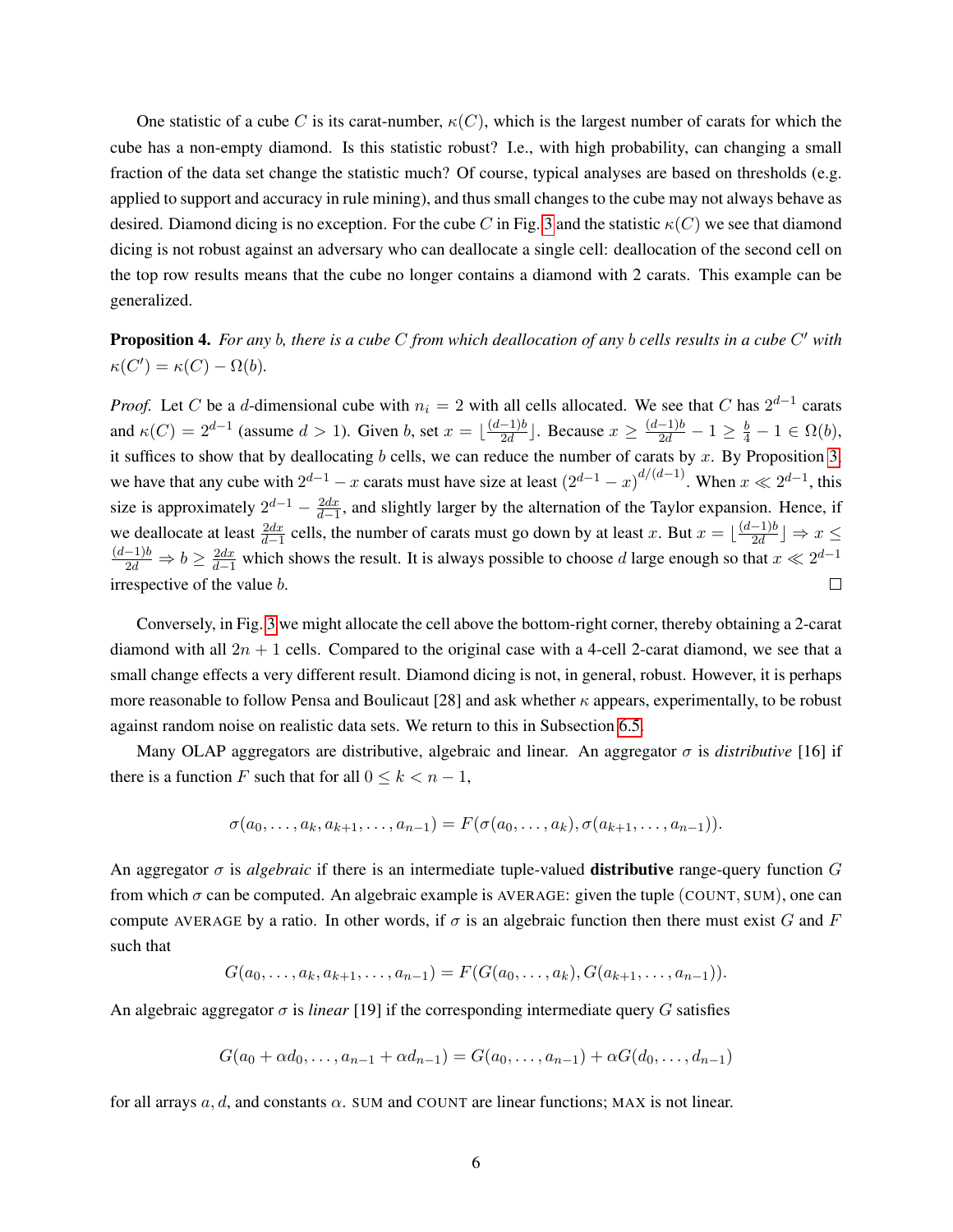One statistic of a cube C is its carat-number,  $\kappa(C)$ , which is the largest number of carats for which the cube has a non-empty diamond. Is this statistic robust? I.e., with high probability, can changing a small fraction of the data set change the statistic much? Of course, typical analyses are based on thresholds (e.g. applied to support and accuracy in rule mining), and thus small changes to the cube may not always behave as desired. Diamond dicing is no exception. For the cube C in Fig. [3](#page-11-0) and the statistic  $\kappa(C)$  we see that diamond dicing is not robust against an adversary who can deallocate a single cell: deallocation of the second cell on the top row results means that the cube no longer contains a diamond with 2 carats. This example can be generalized.

Proposition 4. *For any* b*, there is a cube* C *from which deallocation of any* b *cells results in a cube* C <sup>0</sup> *with*  $\kappa(C') = \kappa(C) - \Omega(b).$ 

*Proof.* Let C be a d-dimensional cube with  $n_i = 2$  with all cells allocated. We see that C has  $2^{d-1}$  carats and  $\kappa(C) = 2^{d-1}$  (assume  $d > 1$ ). Given b, set  $x = \lfloor \frac{(d-1)b}{2d} \rfloor$  $\frac{-1}{2d}$ ]. Because  $x \ge \frac{(d-1)b}{2d} - 1 \ge \frac{b}{4} - 1 \in \Omega(b)$ , it suffices to show that by deallocating b cells, we can reduce the number of carats by x. By Proposition [3,](#page-4-1) we have that any cube with  $2^{d-1} - x$  carats must have size at least  $(2^{d-1} - x)^{d/(d-1)}$ . When  $x \ll 2^{d-1}$ , this size is approximately  $2^{d-1} - \frac{2dx}{d-1}$ , and slightly larger by the alternation of the Taylor expansion. Hence, if we deallocate at least  $\frac{2dx}{d-1}$  cells, the number of carats must go down by at least x. But  $x = \lfloor \frac{(d-1)b}{2d} \rfloor$  $\frac{-1}{2d}$   $\Rightarrow$   $x \le$  $\frac{(d-1)b}{2d} \Rightarrow b \ge \frac{2dx}{d-1}$  which shows the result. It is always possible to choose d large enough so that  $x \ll 2^{d-1}$ irrespective of the value b.  $\Box$ 

Conversely, in Fig. [3](#page-11-0) we might allocate the cell above the bottom-right corner, thereby obtaining a 2-carat diamond with all  $2n + 1$  cells. Compared to the original case with a 4-cell 2-carat diamond, we see that a small change effects a very different result. Diamond dicing is not, in general, robust. However, it is perhaps more reasonable to follow Pensa and Boulicaut [28] and ask whether  $\kappa$  appears, experimentally, to be robust against random noise on realistic data sets. We return to this in Subsection [6.5.](#page-20-0)

Many OLAP aggregators are distributive, algebraic and linear. An aggregator  $\sigma$  is *distributive* [16] if there is a function F such that for all  $0 \le k < n - 1$ ,

$$
\sigma(a_0,\ldots,a_k,a_{k+1},\ldots,a_{n-1})=F(\sigma(a_0,\ldots,a_k),\sigma(a_{k+1},\ldots,a_{n-1})).
$$

An aggregator  $\sigma$  is *algebraic* if there is an intermediate tuple-valued **distributive** range-query function  $G$ from which  $\sigma$  can be computed. An algebraic example is AVERAGE: given the tuple (COUNT, SUM), one can compute AVERAGE by a ratio. In other words, if  $\sigma$  is an algebraic function then there must exist G and F such that

$$
G(a_0,\ldots,a_k,a_{k+1},\ldots,a_{n-1})=F(G(a_0,\ldots,a_k),G(a_{k+1},\ldots,a_{n-1})).
$$

An algebraic aggregator σ is *linear* [19] if the corresponding intermediate query G satisfies

$$
G(a_0 + \alpha d_0, \dots, a_{n-1} + \alpha d_{n-1}) = G(a_0, \dots, a_{n-1}) + \alpha G(d_0, \dots, d_{n-1})
$$

for all arrays  $a, d$ , and constants  $\alpha$ . SUM and COUNT are linear functions; MAX is not linear.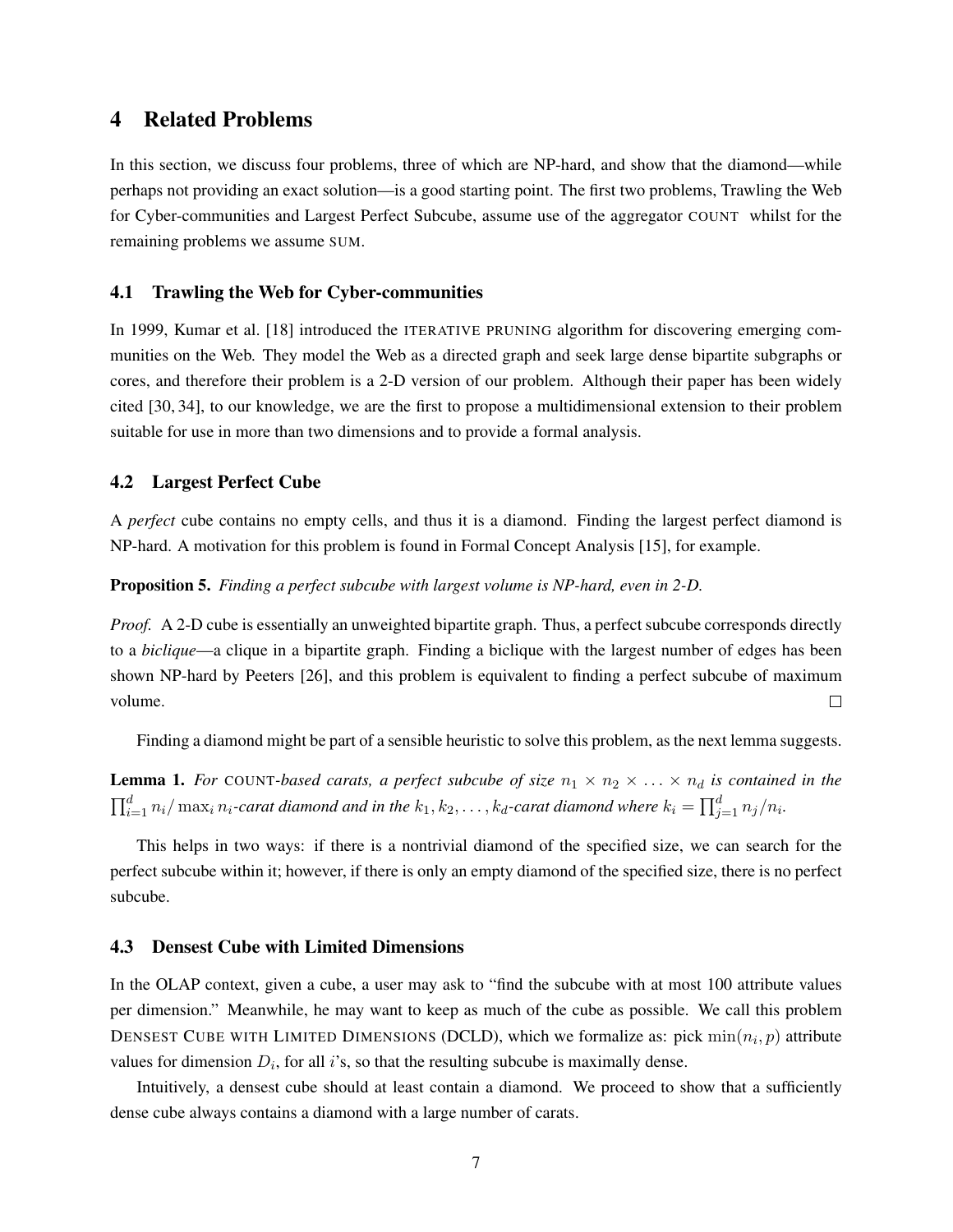## 4 Related Problems

In this section, we discuss four problems, three of which are NP-hard, and show that the diamond—while perhaps not providing an exact solution—is a good starting point. The first two problems, Trawling the Web for Cyber-communities and Largest Perfect Subcube, assume use of the aggregator COUNT whilst for the remaining problems we assume SUM.

### 4.1 Trawling the Web for Cyber-communities

In 1999, Kumar et al. [18] introduced the ITERATIVE PRUNING algorithm for discovering emerging communities on the Web. They model the Web as a directed graph and seek large dense bipartite subgraphs or cores, and therefore their problem is a 2-D version of our problem. Although their paper has been widely cited [30, 34], to our knowledge, we are the first to propose a multidimensional extension to their problem suitable for use in more than two dimensions and to provide a formal analysis.

### 4.2 Largest Perfect Cube

A *perfect* cube contains no empty cells, and thus it is a diamond. Finding the largest perfect diamond is NP-hard. A motivation for this problem is found in Formal Concept Analysis [15], for example.

#### Proposition 5. *Finding a perfect subcube with largest volume is NP-hard, even in 2-D.*

*Proof.* A 2-D cube is essentially an unweighted bipartite graph. Thus, a perfect subcube corresponds directly to a *biclique*—a clique in a bipartite graph. Finding a biclique with the largest number of edges has been shown NP-hard by Peeters [26], and this problem is equivalent to finding a perfect subcube of maximum volume.  $\Box$ 

Finding a diamond might be part of a sensible heuristic to solve this problem, as the next lemma suggests.

**Lemma 1.** For COUNT-based carats, a perfect subcube of size  $n_1 \times n_2 \times \ldots \times n_d$  is contained in the  $\prod_{i=1}^d n_i/\max_i n_i$ -carat diamond and in the  $k_1, k_2, \ldots, k_d$ -carat diamond where  $k_i = \prod_{j=1}^d n_j/n_i$ .

This helps in two ways: if there is a nontrivial diamond of the specified size, we can search for the perfect subcube within it; however, if there is only an empty diamond of the specified size, there is no perfect subcube.

#### 4.3 Densest Cube with Limited Dimensions

In the OLAP context, given a cube, a user may ask to "find the subcube with at most 100 attribute values per dimension." Meanwhile, he may want to keep as much of the cube as possible. We call this problem DENSEST CUBE WITH LIMITED DIMENSIONS (DCLD), which we formalize as: pick  $\min(n_i, p)$  attribute values for dimension  $D_i$ , for all i's, so that the resulting subcube is maximally dense.

<span id="page-6-0"></span>Intuitively, a densest cube should at least contain a diamond. We proceed to show that a sufficiently dense cube always contains a diamond with a large number of carats.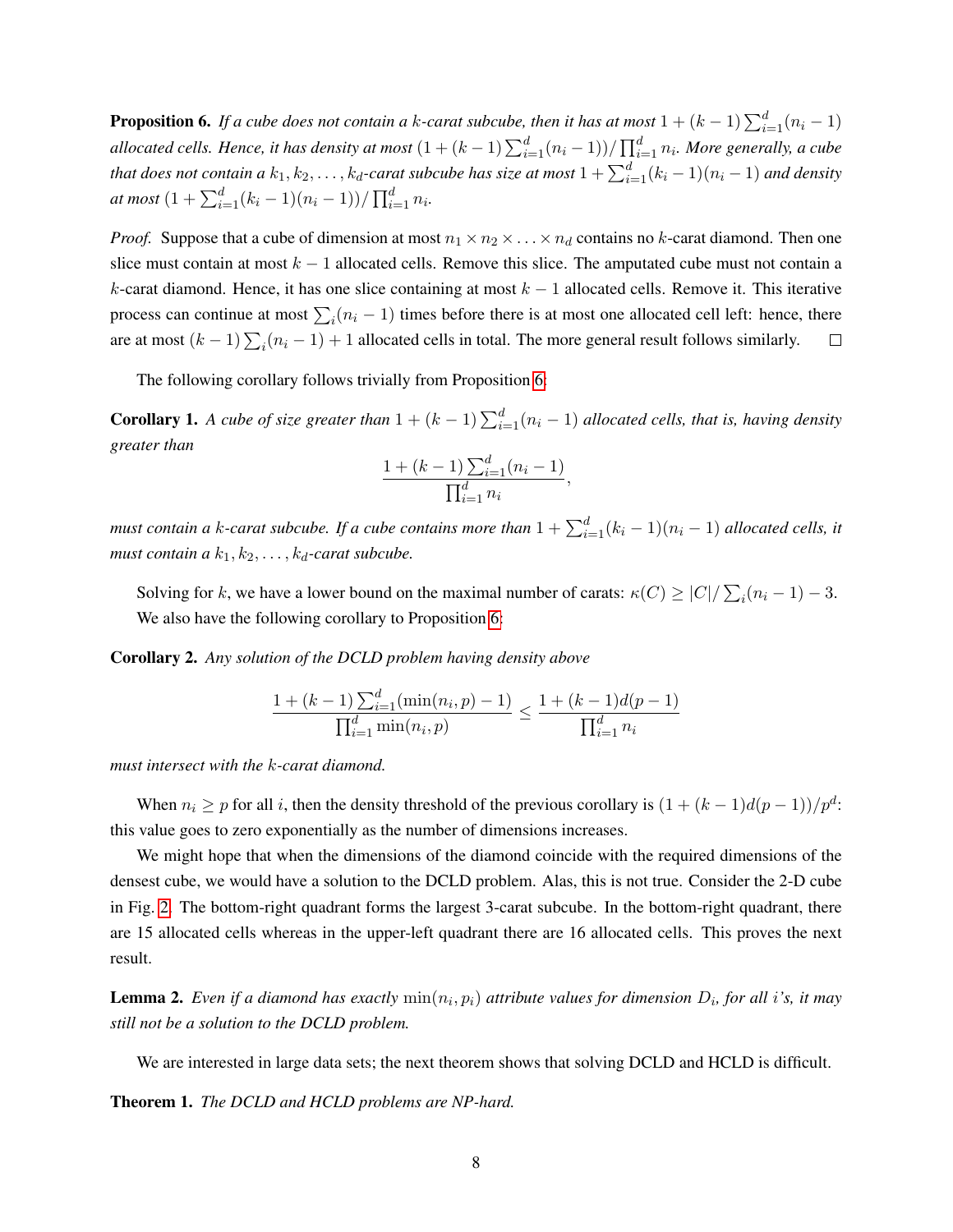**Proposition 6.** If a cube does not contain a k-carat subcube, then it has at most  $1 + (k - 1) \sum_{i=1}^{d} (n_i - 1)$ allocated cells. Hence, it has density at most  $(1 + (k-1)\sum_{i=1}^d (n_i-1))/\prod_{i=1}^d n_i$ . More generally, a cube that does not contain a  $k_1,k_2,\ldots,k_d$ -carat subcube has size at most  $1+\sum_{i=1}^d (k_i-1)(n_i-1)$  and density *at most*  $(1 + \sum_{i=1}^{d} (k_i - 1)(n_i - 1))/\prod_{i=1}^{d} n_i$ .

*Proof.* Suppose that a cube of dimension at most  $n_1 \times n_2 \times \ldots \times n_d$  contains no k-carat diamond. Then one slice must contain at most  $k - 1$  allocated cells. Remove this slice. The amputated cube must not contain a k-carat diamond. Hence, it has one slice containing at most  $k - 1$  allocated cells. Remove it. This iterative process can continue at most  $\sum_i (n_i - 1)$  times before there is at most one allocated cell left: hence, there are at most  $(k-1)\sum_i(n_i-1)+1$  allocated cells in total. The more general result follows similarly.  $\Box$ 

The following corollary follows trivially from Proposition [6:](#page-6-0)

**Corollary 1.** A cube of size greater than  $1 + (k - 1) \sum_{i=1}^{d} (n_i - 1)$  allocated cells, that is, having density *greater than*

$$
\frac{1 + (k-1) \sum_{i=1}^{d} (n_i - 1)}{\prod_{i=1}^{d} n_i},
$$

*must contain a k-carat subcube. If a cube contains more than*  $1 + \sum_{i=1}^{d} (k_i - 1)(n_i - 1)$  *allocated cells, it must contain a*  $k_1, k_2, \ldots, k_d$ -carat subcube.

Solving for k, we have a lower bound on the maximal number of carats:  $\kappa(C) \ge |C| / \sum_i (n_i - 1) - 3$ . We also have the following corollary to Proposition [6:](#page-6-0)

Corollary 2. *Any solution of the DCLD problem having density above*

$$
\frac{1 + (k-1)\sum_{i=1}^{d} (\min(n_i, p) - 1)}{\prod_{i=1}^{d} \min(n_i, p)} \le \frac{1 + (k-1)d(p-1)}{\prod_{i=1}^{d} n_i}
$$

*must intersect with the* k*-carat diamond.*

When  $n_i \ge p$  for all i, then the density threshold of the previous corollary is  $(1 + (k-1)d(p-1))/p^d$ : this value goes to zero exponentially as the number of dimensions increases.

We might hope that when the dimensions of the diamond coincide with the required dimensions of the densest cube, we would have a solution to the DCLD problem. Alas, this is not true. Consider the 2-D cube in Fig. [2.](#page-8-0) The bottom-right quadrant forms the largest 3-carat subcube. In the bottom-right quadrant, there are 15 allocated cells whereas in the upper-left quadrant there are 16 allocated cells. This proves the next result.

<span id="page-7-0"></span>**Lemma 2.** Even if a diamond has exactly  $min(n_i, p_i)$  attribute values for dimension  $D_i$ , for all i's, it may *still not be a solution to the DCLD problem.*

We are interested in large data sets; the next theorem shows that solving DCLD and HCLD is difficult.

Theorem 1. *The DCLD and HCLD problems are NP-hard.*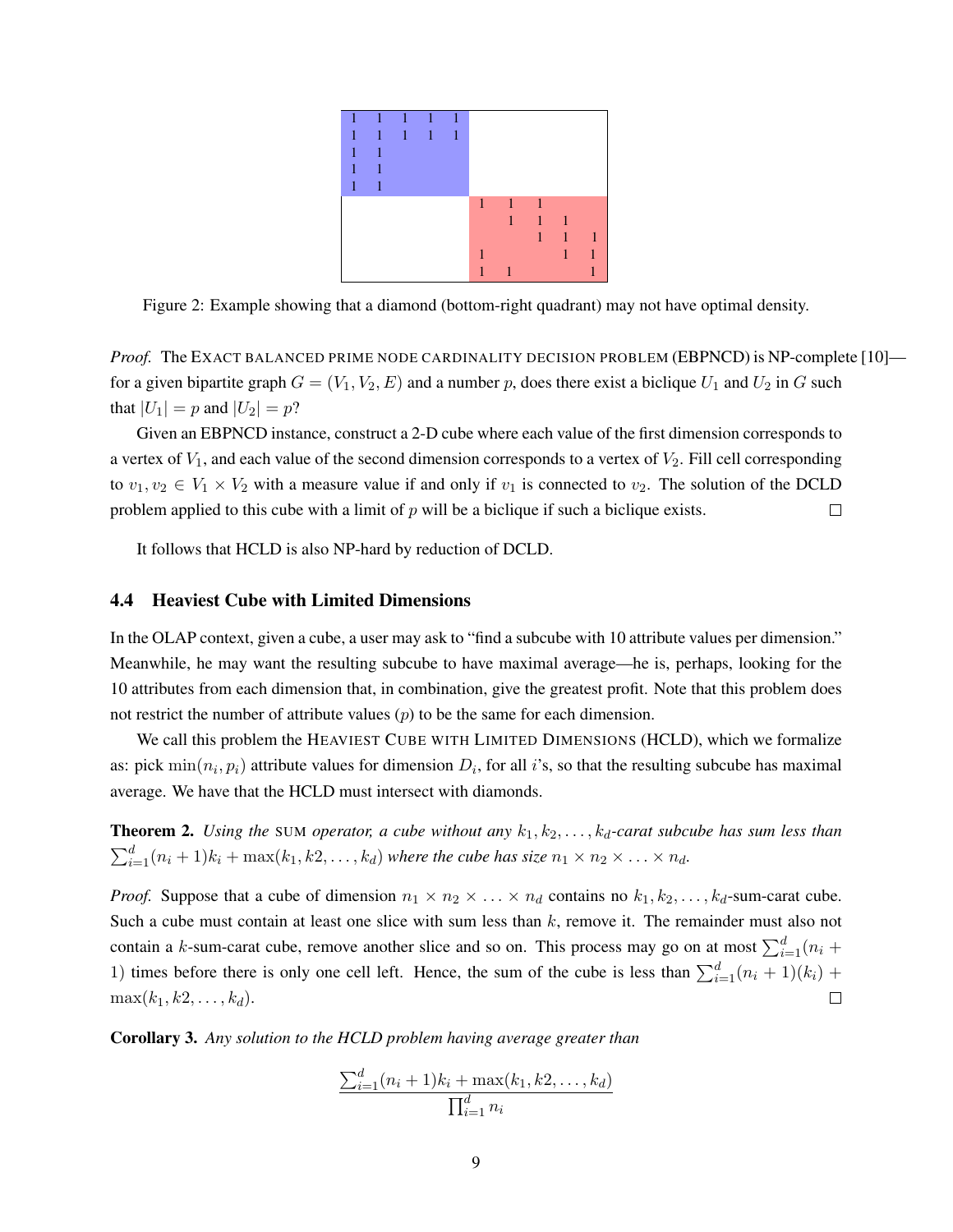

<span id="page-8-0"></span>Figure 2: Example showing that a diamond (bottom-right quadrant) may not have optimal density.

*Proof.* The EXACT BALANCED PRIME NODE CARDINALITY DECISION PROBLEM (EBPNCD) is NP-complete [10] for a given bipartite graph  $G = (V_1, V_2, E)$  and a number p, does there exist a biclique  $U_1$  and  $U_2$  in G such that  $|U_1| = p$  and  $|U_2| = p$ ?

Given an EBPNCD instance, construct a 2-D cube where each value of the first dimension corresponds to a vertex of  $V_1$ , and each value of the second dimension corresponds to a vertex of  $V_2$ . Fill cell corresponding to  $v_1, v_2 \in V_1 \times V_2$  with a measure value if and only if  $v_1$  is connected to  $v_2$ . The solution of the DCLD problem applied to this cube with a limit of  $p$  will be a biclique if such a biclique exists.  $\Box$ 

It follows that HCLD is also NP-hard by reduction of DCLD.

### <span id="page-8-2"></span>4.4 Heaviest Cube with Limited Dimensions

In the OLAP context, given a cube, a user may ask to "find a subcube with 10 attribute values per dimension." Meanwhile, he may want the resulting subcube to have maximal average—he is, perhaps, looking for the 10 attributes from each dimension that, in combination, give the greatest profit. Note that this problem does not restrict the number of attribute values  $(p)$  to be the same for each dimension.

We call this problem the HEAVIEST CUBE WITH LIMITED DIMENSIONS (HCLD), which we formalize as: pick  $\min(n_i, p_i)$  attribute values for dimension  $D_i$ , for all i's, so that the resulting subcube has maximal average. We have that the HCLD must intersect with diamonds.

<span id="page-8-1"></span>**Theorem 2.** *Using the* SUM *operator, a cube without any*  $k_1, k_2, \ldots, k_d$ -carat subcube has sum less than  $\sum_{i=1}^{d} (n_i + 1)k_i + \max(k_1, k_2, \ldots, k_d)$  where the cube has size  $n_1 \times n_2 \times \ldots \times n_d$ .

*Proof.* Suppose that a cube of dimension  $n_1 \times n_2 \times \ldots \times n_d$  contains no  $k_1, k_2, \ldots, k_d$ -sum-carat cube. Such a cube must contain at least one slice with sum less than  $k$ , remove it. The remainder must also not contain a k-sum-carat cube, remove another slice and so on. This process may go on at most  $\sum_{i=1}^{d} (n_i +$ 1) times before there is only one cell left. Hence, the sum of the cube is less than  $\sum_{i=1}^{d} (n_i + 1)(k_i)$  +  $\max(k_1, k_2, \ldots, k_d).$  $\Box$ 

Corollary 3. *Any solution to the HCLD problem having average greater than*

$$
\frac{\sum_{i=1}^{d} (n_i + 1)k_i + \max(k_1, k_2, \dots, k_d)}{\prod_{i=1}^{d} n_i}
$$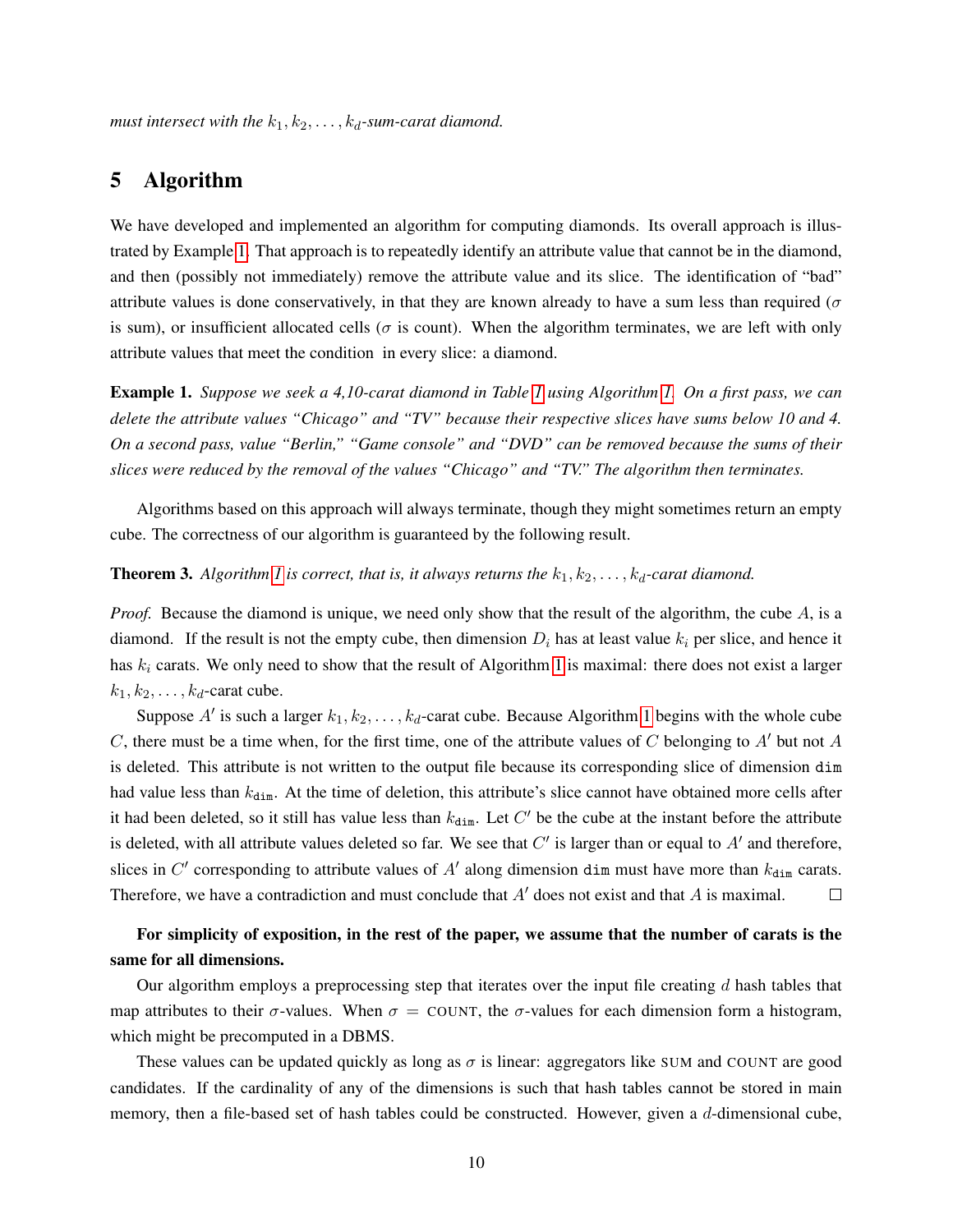*must intersect with the*  $k_1, k_2, \ldots, k_d$ -sum-carat diamond.

# <span id="page-9-2"></span>5 Algorithm

We have developed and implemented an algorithm for computing diamonds. Its overall approach is illustrated by Example [1.](#page-9-0) That approach is to repeatedly identify an attribute value that cannot be in the diamond, and then (possibly not immediately) remove the attribute value and its slice. The identification of "bad" attribute values is done conservatively, in that they are known already to have a sum less than required ( $\sigma$ is sum), or insufficient allocated cells ( $\sigma$  is count). When the algorithm terminates, we are left with only attribute values that meet the condition in every slice: a diamond.

<span id="page-9-0"></span>Example 1. *Suppose we seek a 4,10-carat diamond in Table [1](#page-1-0) using Algorithm [1.](#page-9-1) On a first pass, we can delete the attribute values "Chicago" and "TV" because their respective slices have sums below 10 and 4. On a second pass, value "Berlin," "Game console" and "DVD" can be removed because the sums of their slices were reduced by the removal of the values "Chicago" and "TV." The algorithm then terminates.*

Algorithms based on this approach will always terminate, though they might sometimes return an empty cube. The correctness of our algorithm is guaranteed by the following result.

### **Theorem 3.** Algorithm [1](#page-9-1) is correct, that is, it always returns the  $k_1, k_2, \ldots, k_d$ -carat diamond.

*Proof.* Because the diamond is unique, we need only show that the result of the algorithm, the cube A, is a diamond. If the result is not the empty cube, then dimension  $D_i$  has at least value  $k_i$  per slice, and hence it has  $k_i$  carats. We only need to show that the result of Algorithm [1](#page-9-1) is maximal: there does not exist a larger  $k_1, k_2, \ldots, k_d$ -carat cube.

Suppose A' is such a larger  $k_1, k_2, \ldots, k_d$ -carat cube. Because Algorithm [1](#page-9-1) begins with the whole cube C, there must be a time when, for the first time, one of the attribute values of C belonging to A' but not A is deleted. This attribute is not written to the output file because its corresponding slice of dimension dim had value less than  $k_{\text{dim}}$ . At the time of deletion, this attribute's slice cannot have obtained more cells after it had been deleted, so it still has value less than  $k_{dim}$ . Let  $C'$  be the cube at the instant before the attribute is deleted, with all attribute values deleted so far. We see that  $C'$  is larger than or equal to  $A'$  and therefore, slices in C' corresponding to attribute values of A' along dimension dim must have more than  $k_{\text{dim}}$  carats. Therefore, we have a contradiction and must conclude that  $A'$  does not exist and that  $A$  is maximal.  $\Box$ 

# For simplicity of exposition, in the rest of the paper, we assume that the number of carats is the same for all dimensions.

<span id="page-9-1"></span>Our algorithm employs a preprocessing step that iterates over the input file creating  $d$  hash tables that map attributes to their  $\sigma$ -values. When  $\sigma =$  COUNT, the  $\sigma$ -values for each dimension form a histogram, which might be precomputed in a DBMS.

These values can be updated quickly as long as  $\sigma$  is linear: aggregators like SUM and COUNT are good candidates. If the cardinality of any of the dimensions is such that hash tables cannot be stored in main memory, then a file-based set of hash tables could be constructed. However, given a d-dimensional cube,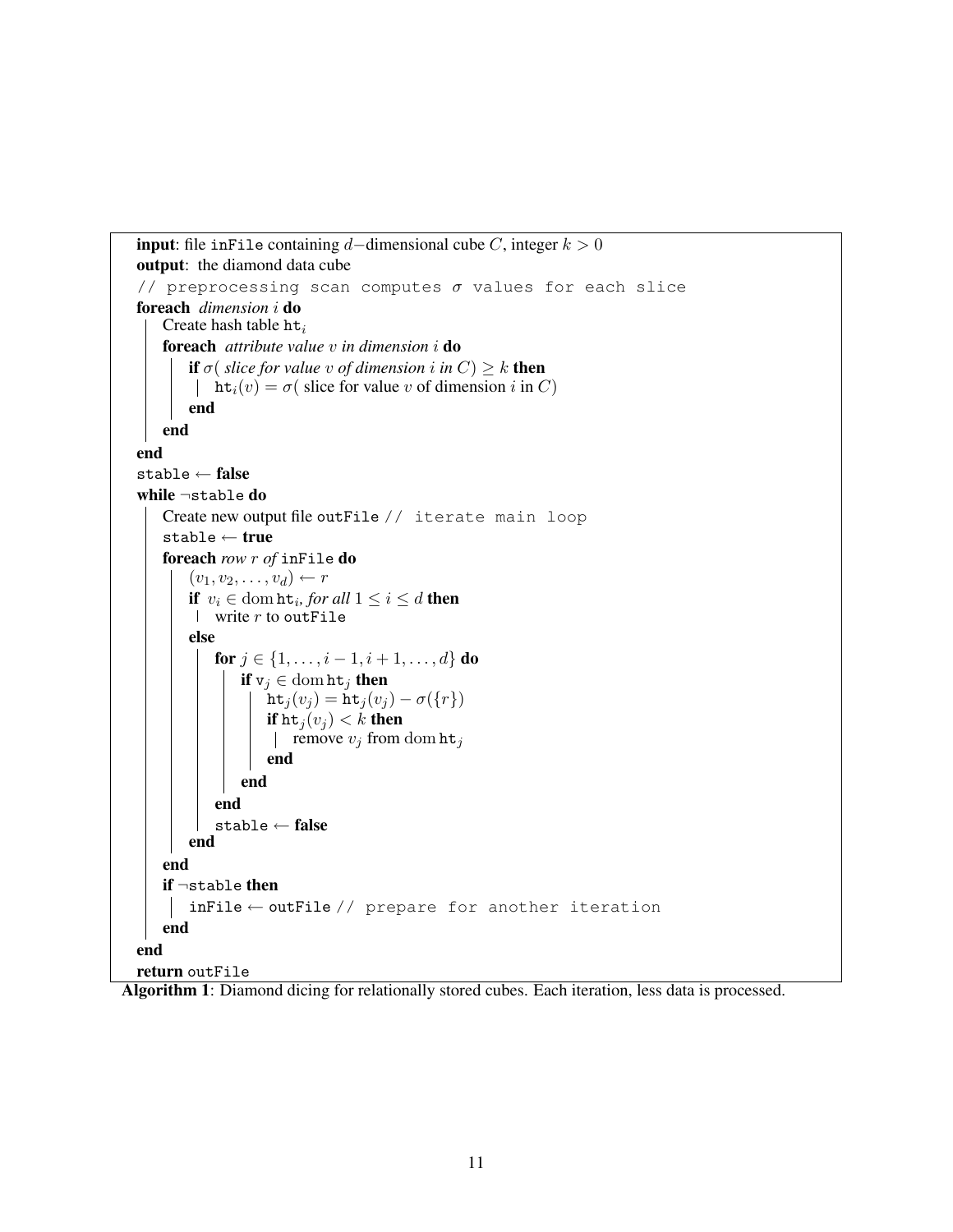```
input: file inFile containing d–dimensional cube C, integer k > 0output: the diamond data cube
// preprocessing scan computes \sigma values for each slice
foreach dimension i do
    Create hash table \text{ht}_iforeach attribute value v in dimension i do
        if \sigma( slice for value v of dimension i in C) \geq k then
        \vert ht<sub>i</sub>(v) = \sigma (slice for value v of dimension i in C)
        end
   end
end
stable \leftarrow falsewhile ¬stable do
    Create new output file outFile // iterate main loop
    stable ← true
    foreach row r of inFile do
        (v_1, v_2, \ldots, v_d) \leftarrow rif v_i \in \text{dom }\mathbf{ht}_i, for all 1 \leq i \leq d then
        write r to out File
        else
            for j \in \{1, \ldots, i-1, i+1, \ldots, d\} do
                if v_j \in \text{dom ht}_j then
                    \operatorname{ht}_j(v_j) = \operatorname{ht}_j(v_j) - \sigma(\lbrace r \rbrace)if \text{ht}_j(v_j) < k then
                     | remove v_j from dom ht<sub>j</sub>
                    end
                end
            end
            stable ← false
        end
    end
    if \negstable then
     | inFile ← outFile // prepare for another iteration
   end
end
return outFile
```
Algorithm 1: Diamond dicing for relationally stored cubes. Each iteration, less data is processed.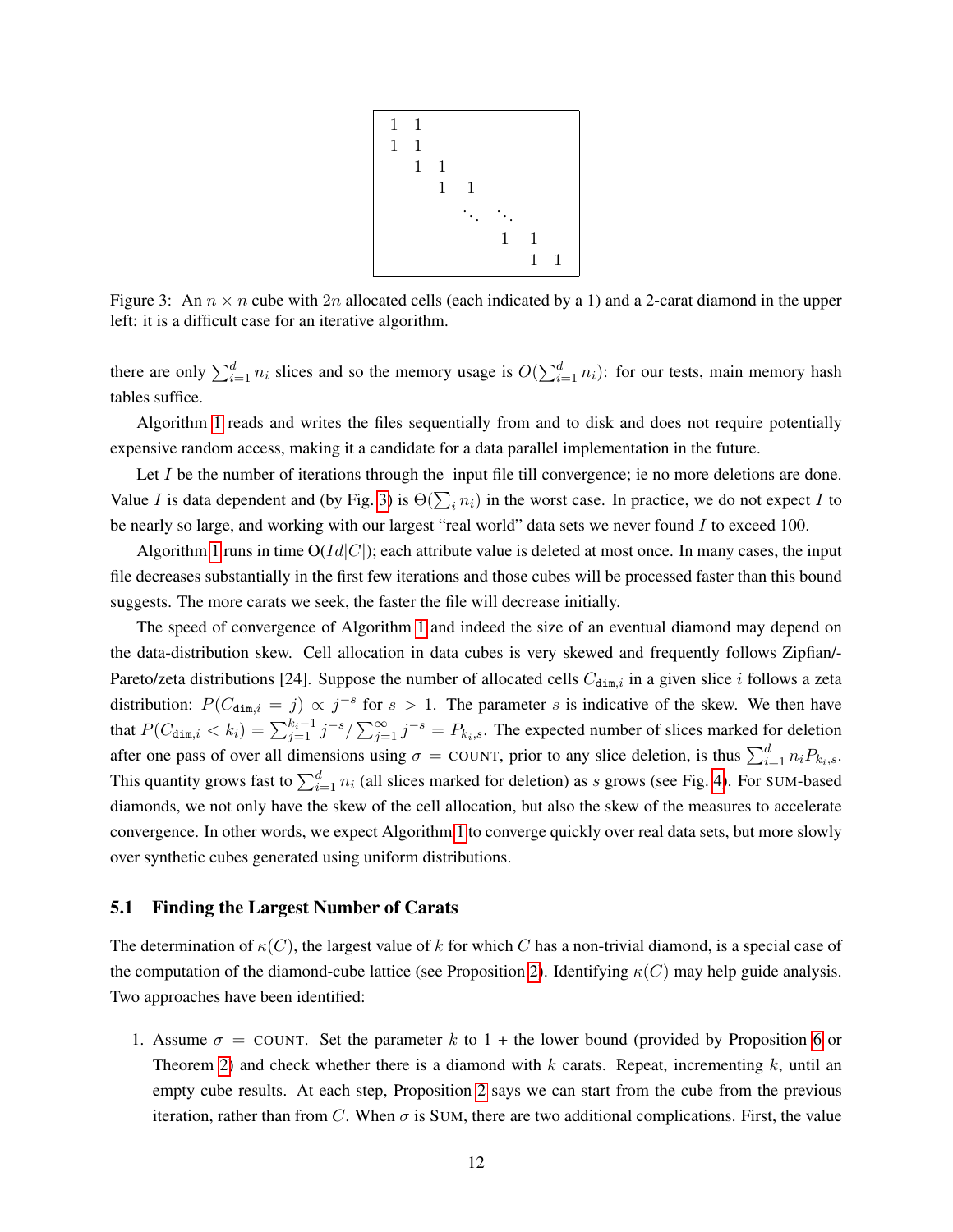

<span id="page-11-0"></span>Figure 3: An  $n \times n$  cube with 2n allocated cells (each indicated by a 1) and a 2-carat diamond in the upper left: it is a difficult case for an iterative algorithm.

there are only  $\sum_{i=1}^d n_i$  slices and so the memory usage is  $O(\sum_{i=1}^d n_i)$ : for our tests, main memory hash tables suffice.

Algorithm [1](#page-9-1) reads and writes the files sequentially from and to disk and does not require potentially expensive random access, making it a candidate for a data parallel implementation in the future.

Let I be the number of iterations through the input file till convergence; ie no more deletions are done. Value I is data dependent and (by Fig. [3\)](#page-11-0) is  $\Theta(\sum_i n_i)$  in the worst case. In practice, we do not expect I to be nearly so large, and working with our largest "real world" data sets we never found  $I$  to exceed 100.

Algorithm [1](#page-9-1) runs in time  $O(Id|C|)$ ; each attribute value is deleted at most once. In many cases, the input file decreases substantially in the first few iterations and those cubes will be processed faster than this bound suggests. The more carats we seek, the faster the file will decrease initially.

The speed of convergence of Algorithm [1](#page-9-1) and indeed the size of an eventual diamond may depend on the data-distribution skew. Cell allocation in data cubes is very skewed and frequently follows Zipfian/- Pareto/zeta distributions [24]. Suppose the number of allocated cells  $C_{\text{dim},i}$  in a given slice i follows a zeta distribution:  $P(C_{\text{dim},i} = j) \propto j^{-s}$  for  $s > 1$ . The parameter s is indicative of the skew. We then have that  $P(C_{\text{dim},i} < k_i) = \sum_{j=1}^{k_i-1} j^{-s} / \sum_{j=1}^{\infty} j^{-s} = P_{k_i,s}$ . The expected number of slices marked for deletion after one pass of over all dimensions using  $\sigma =$  COUNT, prior to any slice deletion, is thus  $\sum_{i=1}^{d} n_i P_{k_i,s}$ . This quantity grows fast to  $\sum_{i=1}^{d} n_i$  (all slices marked for deletion) as s grows (see Fig. [4\)](#page-12-0). For SUM-based diamonds, we not only have the skew of the cell allocation, but also the skew of the measures to accelerate convergence. In other words, we expect Algorithm [1](#page-9-1) to converge quickly over real data sets, but more slowly over synthetic cubes generated using uniform distributions.

### <span id="page-11-1"></span>5.1 Finding the Largest Number of Carats

The determination of  $\kappa(C)$ , the largest value of k for which C has a non-trivial diamond, is a special case of the computation of the diamond-cube lattice (see Proposition [2\)](#page-3-1). Identifying  $\kappa(C)$  may help guide analysis. Two approaches have been identified:

1. Assume  $\sigma =$  COUNT. Set the parameter k to 1 + the lower bound (provided by Proposition [6](#page-6-0) or Theorem [2\)](#page-8-1) and check whether there is a diamond with  $k$  carats. Repeat, incrementing  $k$ , until an empty cube results. At each step, Proposition [2](#page-3-1) says we can start from the cube from the previous iteration, rather than from C. When  $\sigma$  is SUM, there are two additional complications. First, the value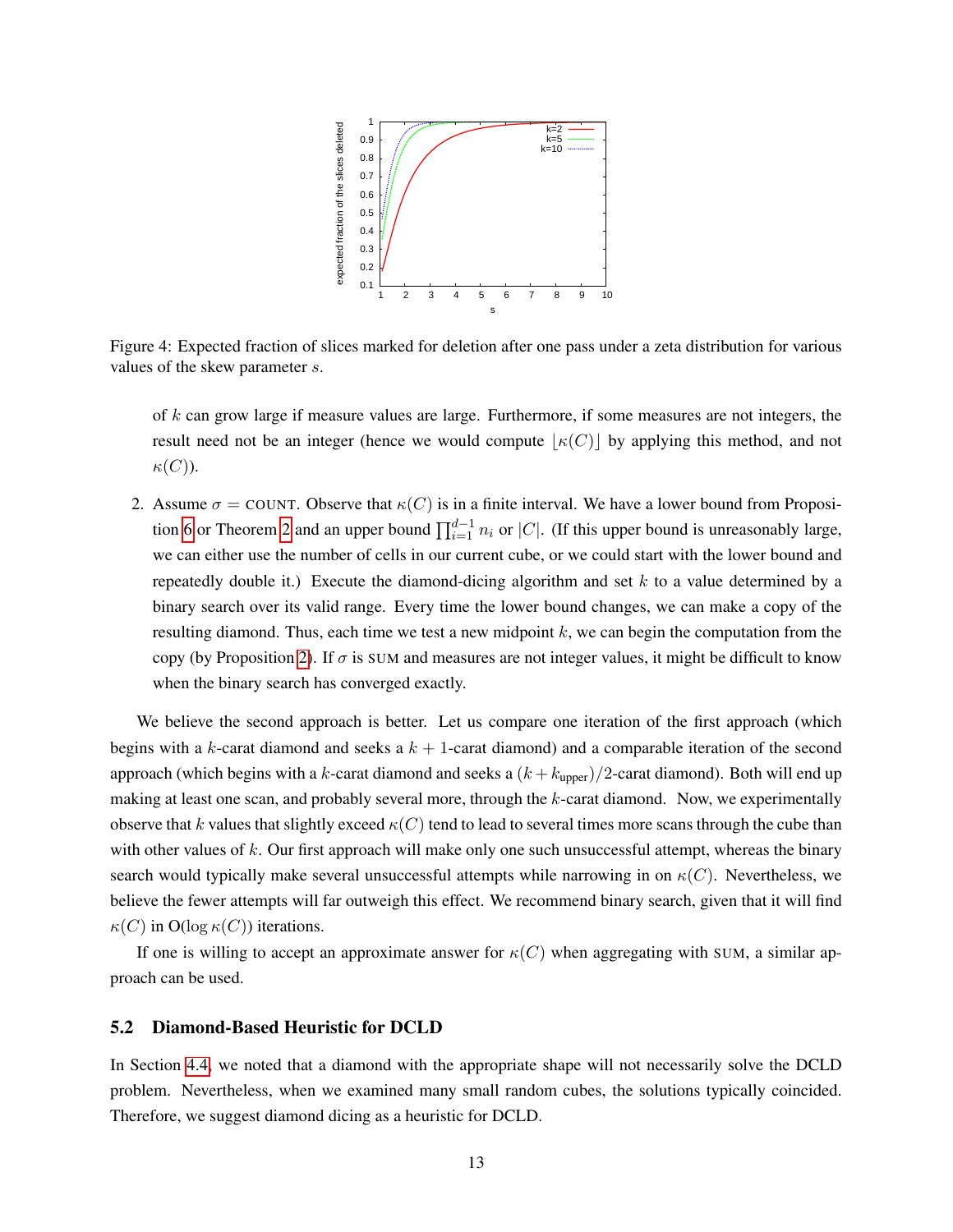

<span id="page-12-0"></span>Figure 4: Expected fraction of slices marked for deletion after one pass under a zeta distribution for various values of the skew parameter s.

of  $k$  can grow large if measure values are large. Furthermore, if some measures are not integers, the result need not be an integer (hence we would compute  $|\kappa(C)|$  by applying this method, and not  $\kappa(C)$ ).

2. Assume  $\sigma = \text{COUNT}$ . Observe that  $\kappa(C)$  is in a finite interval. We have a lower bound from Proposi-tion [6](#page-6-0) or Theorem [2](#page-8-1) and an upper bound  $\prod_{i=1}^{d-1} n_i$  or |C|. (If this upper bound is unreasonably large, we can either use the number of cells in our current cube, or we could start with the lower bound and repeatedly double it.) Execute the diamond-dicing algorithm and set  $k$  to a value determined by a binary search over its valid range. Every time the lower bound changes, we can make a copy of the resulting diamond. Thus, each time we test a new midpoint  $k$ , we can begin the computation from the copy (by Proposition [2\)](#page-3-1). If  $\sigma$  is SUM and measures are not integer values, it might be difficult to know when the binary search has converged exactly.

We believe the second approach is better. Let us compare one iteration of the first approach (which begins with a k-carat diamond and seeks a  $k + 1$ -carat diamond) and a comparable iteration of the second approach (which begins with a k-carat diamond and seeks a  $(k + k_{\text{upper}})/2$ -carat diamond). Both will end up making at least one scan, and probably several more, through the  $k$ -carat diamond. Now, we experimentally observe that k values that slightly exceed  $\kappa(C)$  tend to lead to several times more scans through the cube than with other values of k. Our first approach will make only one such unsuccessful attempt, whereas the binary search would typically make several unsuccessful attempts while narrowing in on  $\kappa(C)$ . Nevertheless, we believe the fewer attempts will far outweigh this effect. We recommend binary search, given that it will find  $\kappa(C)$  in O(log  $\kappa(C)$ ) iterations.

If one is willing to accept an approximate answer for  $\kappa(C)$  when aggregating with SUM, a similar approach can be used.

### <span id="page-12-1"></span>5.2 Diamond-Based Heuristic for DCLD

In Section [4.4,](#page-8-2) we noted that a diamond with the appropriate shape will not necessarily solve the DCLD problem. Nevertheless, when we examined many small random cubes, the solutions typically coincided. Therefore, we suggest diamond dicing as a heuristic for DCLD.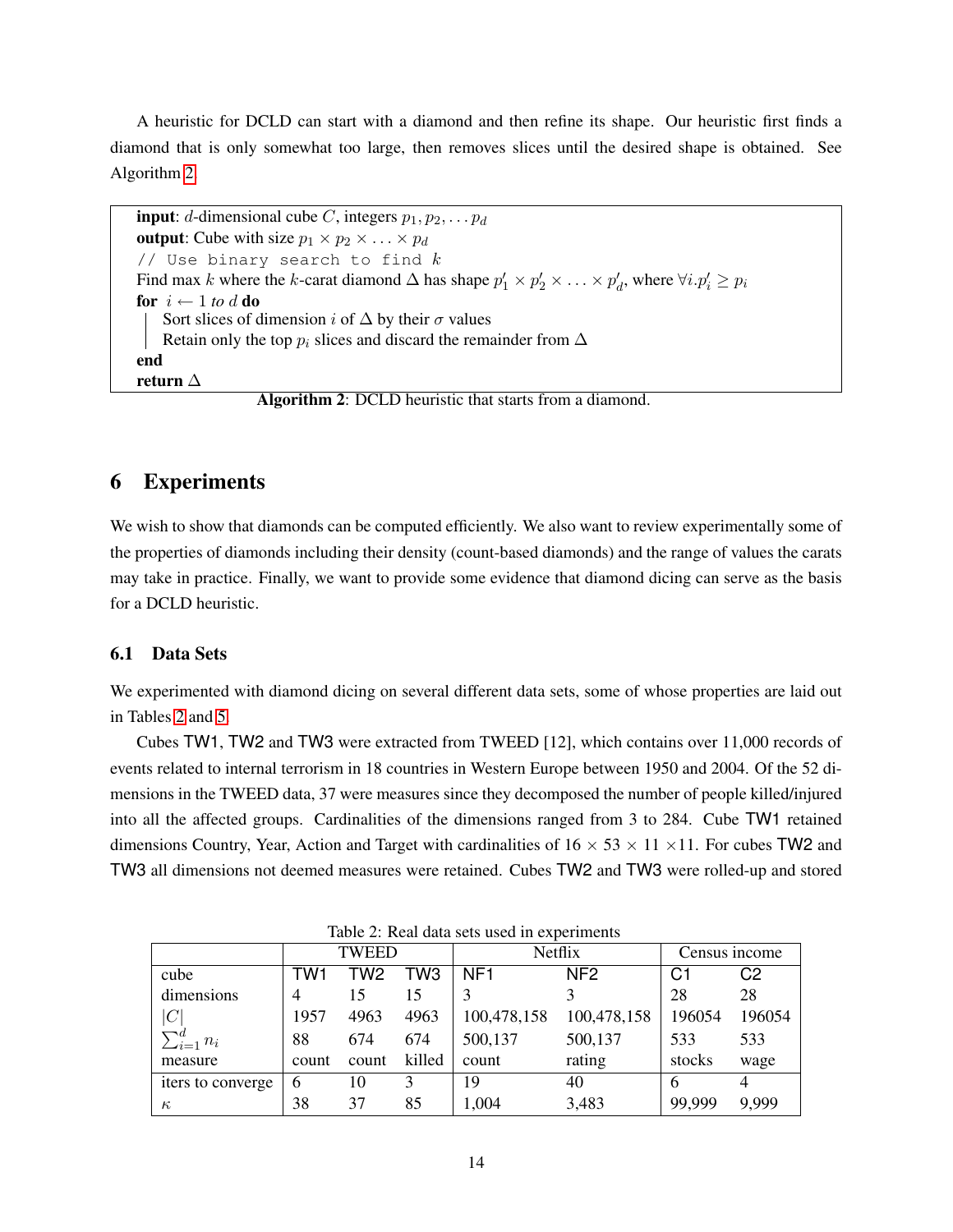A heuristic for DCLD can start with a diamond and then refine its shape. Our heuristic first finds a diamond that is only somewhat too large, then removes slices until the desired shape is obtained. See Algorithm [2.](#page-13-0)

```
input: d-dimensional cube C, integers p_1, p_2, \ldots, p_doutput: Cube with size p_1 \times p_2 \times \ldots \times p_d// Use binary search to find kFind max k where the k-carat diamond \Delta has shape p'_1 \times p'_2 \times \ldots \times p'_d, where \forall i. p'_i \geq p_ifor i \leftarrow 1 to d do
    Sort slices of dimension i of \Delta by their \sigma values
    Retain only the top p_i slices and discard the remainder from \Deltaend
return ∆
```
Algorithm 2: DCLD heuristic that starts from a diamond.

# 6 Experiments

We wish to show that diamonds can be computed efficiently. We also want to review experimentally some of the properties of diamonds including their density (count-based diamonds) and the range of values the carats may take in practice. Finally, we want to provide some evidence that diamond dicing can serve as the basis for a DCLD heuristic.

### 6.1 Data Sets

We experimented with diamond dicing on several different data sets, some of whose properties are laid out in Tables [2](#page-13-1) and [5.](#page-17-0)

Cubes TW1, TW2 and TW3 were extracted from TWEED [12], which contains over 11,000 records of events related to internal terrorism in 18 countries in Western Europe between 1950 and 2004. Of the 52 dimensions in the TWEED data, 37 were measures since they decomposed the number of people killed/injured into all the affected groups. Cardinalities of the dimensions ranged from 3 to 284. Cube TW1 retained dimensions Country, Year, Action and Target with cardinalities of  $16 \times 53 \times 11 \times 11$ . For cubes TW2 and TW3 all dimensions not deemed measures were retained. Cubes TW2 and TW3 were rolled-up and stored

|                    |                | TWEED |                 |                 | Netflix               | Census income |        |
|--------------------|----------------|-------|-----------------|-----------------|-----------------------|---------------|--------|
| cube               | TW1            | TW2   | TW <sub>3</sub> | NF <sub>1</sub> | NF <sub>2</sub><br>C1 |               | C2     |
| dimensions         | $\overline{4}$ | 15    | 15              |                 |                       | 28            | 28     |
| C                  | 1957           | 4963  | 4963            | 100,478,158     | 100,478,158           | 196054        | 196054 |
| $\sum_{i=1}^d n_i$ | 88             | 674   | 674             | 500,137         | 500,137               | 533           | 533    |
| measure            | count          | count | killed          | count           | rating                | stocks        | wage   |
| iters to converge. | 6              | 10    | 3               | 19              | 40                    |               | 4      |
| $\kappa$           | 38             | 37    | 85              | 1,004           | 3,483                 | 99,999        | 9,999  |

<span id="page-13-1"></span>Table 2: Real data sets used in experiments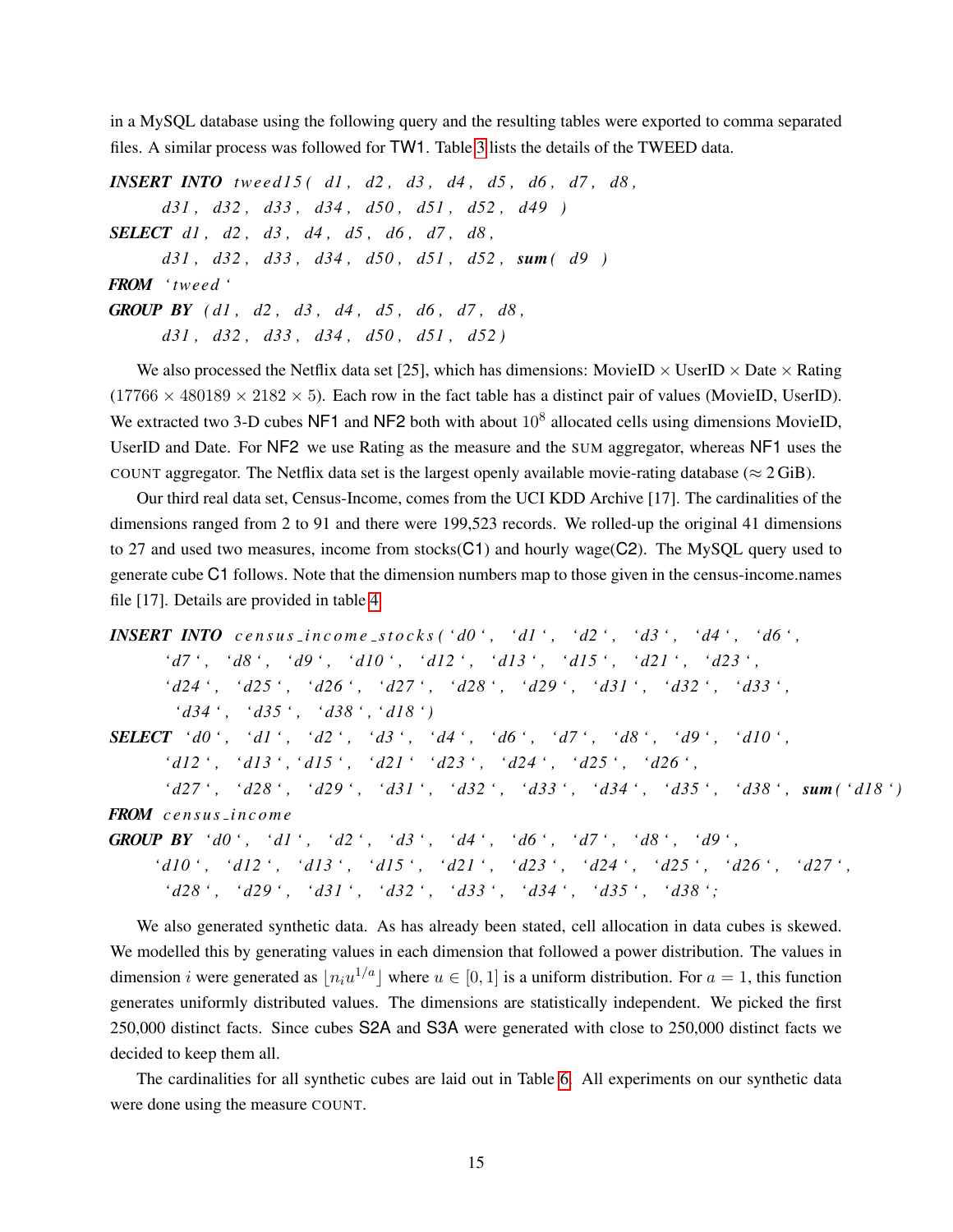in a MySQL database using the following query and the resulting tables were exported to comma separated files. A similar process was followed for TW1. Table [3](#page-15-0) lists the details of the TWEED data.

*INSERT INTO twee d 1 5 ( d1 , d2 , d3 , d4 , d5 , d6 , d7 , d8 , d31 , d32 , d33 , d34 , d50 , d51 , d52 , d49 ) SELECT d1 , d2 , d3 , d4 , d5 , d6 , d7 , d8 , d31 , d32 , d33 , d34 , d50 , d51 , d52 , sum( d9 ) FROM ' tweed ' GROUP BY ( d1 , d2 , d3 , d4 , d5 , d6 , d7 , d8 , d31 , d32 , d33 , d34 , d50 , d51 , d52 )*

We also processed the Netflix data set [25], which has dimensions: MovieID  $\times$  UserID  $\times$  Date  $\times$  Rating  $(17766 \times 480189 \times 2182 \times 5)$ . Each row in the fact table has a distinct pair of values (MovieID, UserID). We extracted two 3-D cubes NF1 and NF2 both with about  $10^8$  allocated cells using dimensions MovieID, UserID and Date. For NF2 we use Rating as the measure and the SUM aggregator, whereas NF1 uses the COUNT aggregator. The Netflix data set is the largest openly available movie-rating database ( $\approx 2 \text{ GiB}$ ).

Our third real data set, Census-Income, comes from the UCI KDD Archive [17]. The cardinalities of the dimensions ranged from 2 to 91 and there were 199,523 records. We rolled-up the original 41 dimensions to 27 and used two measures, income from stocks $(C1)$  and hourly wage $(C2)$ . The MySQL query used to generate cube C1 follows. Note that the dimension numbers map to those given in the census-income.names file [17]. Details are provided in table [4](#page-16-0)

```
INSERT INTO census income stocks ('d0', 'd1', 'd2', 'd3', 'd4', 'd6',
       ' d7 ' , ' d8 ' , ' d9 ' , ' d10 ' , ' d12 ' , ' d13 ' , ' d15 ' , ' d21 ' , ' d23 ' ,
       ' d24 ' , ' d25 ' , ' d26 ' , ' d27 ' , ' d28 ' , ' d29 ' , ' d31 ' , ' d32 ' , ' d33 ' ,
         ' d34 ' , ' d35 ' , ' d38 ' , ' d18 ' )
SELECT ' d0 ' , ' d1 ' , ' d2 ' , ' d3 ' , ' d4 ' , ' d6 ' , ' d7 ' , ' d8 ' , ' d9 ' , ' d10 ' ,
       ' d12 ' , ' d13 ' , ' d15 ' , ' d21 ' ' d23 ' , ' d24 ' , ' d25 ' , ' d26 ' ,
        ' d27 ' , ' d28 ' , ' d29 ' , ' d31 ' , ' d32 ' , ' d33 ' , ' d34 ' , ' d35 ' , ' d38 ' , sum( ' d18 ' )
FROM c e n s u s i n c o m e
GROUP BY ' d0 ' , ' d1 ' , ' d2 ' , ' d3 ' , ' d4 ' , ' d6 ' , ' d7 ' , ' d8 ' , ' d9 ' ,
      ' d10 ' , ' d12 ' , ' d13 ' , ' d15 ' , ' d21 ' , ' d23 ' , ' d24 ' , ' d25 ' , ' d26 ' , ' d27 ' ,
```
*' d28 ' , ' d29 ' , ' d31 ' , ' d32 ' , ' d33 ' , ' d34 ' , ' d35 ' , ' d38 ' ;* We also generated synthetic data. As has already been stated, cell allocation in data cubes is skewed. We modelled this by generating values in each dimension that followed a power distribution. The values in dimension *i* were generated as  $\lfloor n_i u^{1/a} \rfloor$  where  $u \in [0, 1]$  is a uniform distribution. For  $a = 1$ , this function generates uniformly distributed values. The dimensions are statistically independent. We picked the first

250,000 distinct facts. Since cubes S2A and S3A were generated with close to 250,000 distinct facts we decided to keep them all.

The cardinalities for all synthetic cubes are laid out in Table [6.](#page-17-1) All experiments on our synthetic data were done using the measure COUNT.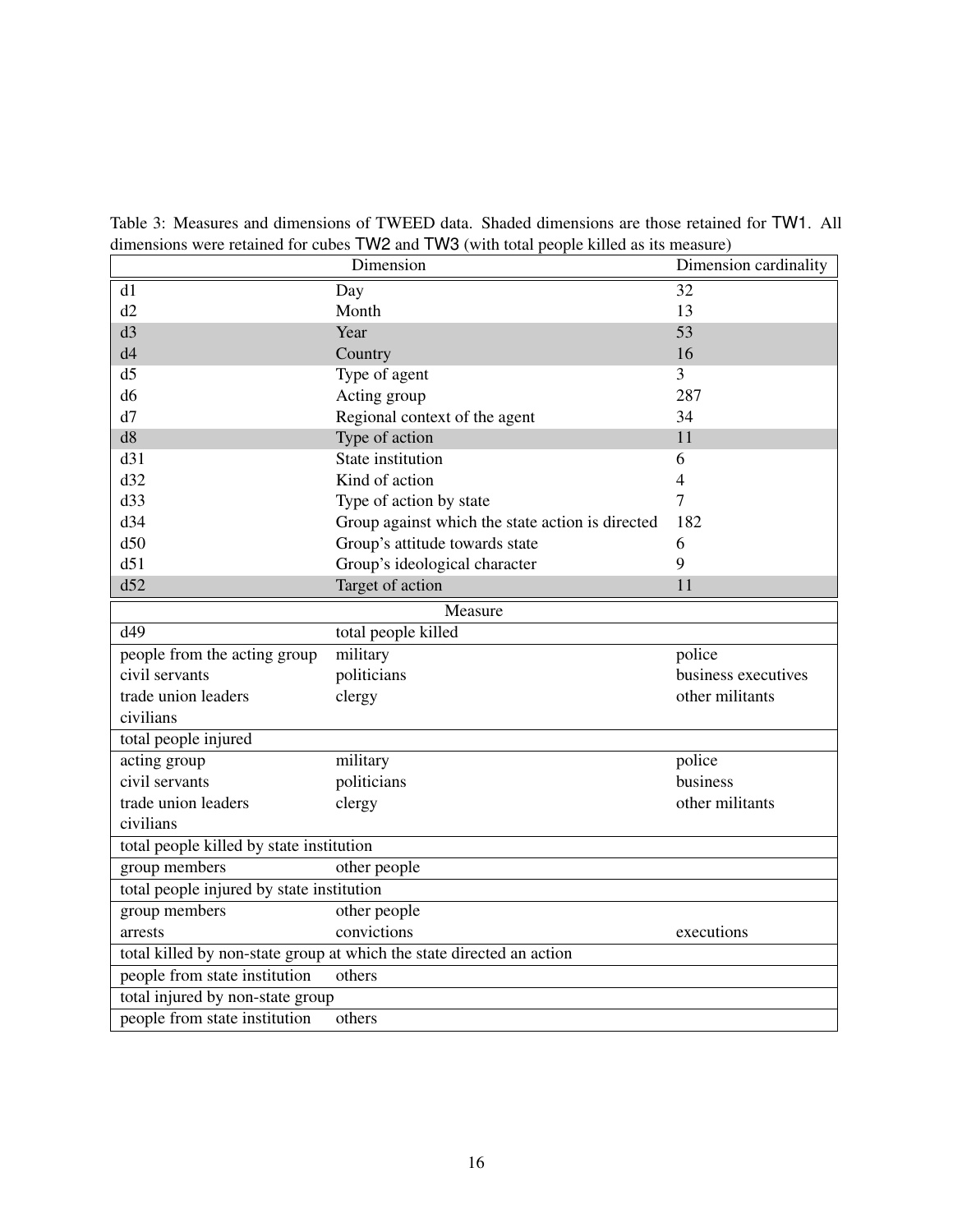| $\alpha$ and $\beta$ is the complete than $\alpha$ is the contract of $\alpha$ in $\alpha$ in $\alpha$ is the sum of $\alpha$ in $\alpha$ in $\alpha$<br>Dimension cardinality<br>Dimension |                                                  |                     |  |  |  |  |  |
|---------------------------------------------------------------------------------------------------------------------------------------------------------------------------------------------|--------------------------------------------------|---------------------|--|--|--|--|--|
| d1                                                                                                                                                                                          | Day                                              | 32                  |  |  |  |  |  |
| d2                                                                                                                                                                                          | Month                                            | 13                  |  |  |  |  |  |
| d3                                                                                                                                                                                          | Year                                             | 53                  |  |  |  |  |  |
| d4                                                                                                                                                                                          | Country                                          | 16                  |  |  |  |  |  |
| d <sub>5</sub>                                                                                                                                                                              | Type of agent                                    | 3                   |  |  |  |  |  |
| d <sub>6</sub>                                                                                                                                                                              | Acting group                                     | 287                 |  |  |  |  |  |
| d7                                                                                                                                                                                          | Regional context of the agent                    | 34                  |  |  |  |  |  |
| d8                                                                                                                                                                                          | Type of action                                   | 11                  |  |  |  |  |  |
| d31                                                                                                                                                                                         | State institution                                | 6                   |  |  |  |  |  |
| d32                                                                                                                                                                                         | Kind of action                                   | 4                   |  |  |  |  |  |
| d33                                                                                                                                                                                         | Type of action by state                          | 7                   |  |  |  |  |  |
| d34                                                                                                                                                                                         | Group against which the state action is directed | 182                 |  |  |  |  |  |
| d50                                                                                                                                                                                         | Group's attitude towards state                   | 6                   |  |  |  |  |  |
| d51                                                                                                                                                                                         | Group's ideological character                    | 9                   |  |  |  |  |  |
| d52                                                                                                                                                                                         | Target of action                                 | 11                  |  |  |  |  |  |
|                                                                                                                                                                                             | Measure                                          |                     |  |  |  |  |  |
| d49                                                                                                                                                                                         | total people killed                              |                     |  |  |  |  |  |
| people from the acting group                                                                                                                                                                | military                                         | police              |  |  |  |  |  |
| civil servants                                                                                                                                                                              | politicians                                      | business executives |  |  |  |  |  |
| trade union leaders                                                                                                                                                                         | clergy                                           | other militants     |  |  |  |  |  |
| civilians                                                                                                                                                                                   |                                                  |                     |  |  |  |  |  |
| total people injured                                                                                                                                                                        |                                                  |                     |  |  |  |  |  |
| acting group                                                                                                                                                                                | military                                         | police              |  |  |  |  |  |
| civil servants                                                                                                                                                                              | politicians                                      | business            |  |  |  |  |  |
| trade union leaders                                                                                                                                                                         | clergy                                           | other militants     |  |  |  |  |  |
| civilians                                                                                                                                                                                   |                                                  |                     |  |  |  |  |  |
| total people killed by state institution                                                                                                                                                    |                                                  |                     |  |  |  |  |  |
| group members                                                                                                                                                                               | other people                                     |                     |  |  |  |  |  |
|                                                                                                                                                                                             | total people injured by state institution        |                     |  |  |  |  |  |
| group members<br>other people                                                                                                                                                               |                                                  |                     |  |  |  |  |  |
| arrests                                                                                                                                                                                     | convictions<br>executions                        |                     |  |  |  |  |  |
| total killed by non-state group at which the state directed an action                                                                                                                       |                                                  |                     |  |  |  |  |  |
| people from state institution                                                                                                                                                               | others                                           |                     |  |  |  |  |  |
| total injured by non-state group                                                                                                                                                            |                                                  |                     |  |  |  |  |  |
| people from state institution                                                                                                                                                               | others                                           |                     |  |  |  |  |  |

<span id="page-15-0"></span>Table 3: Measures and dimensions of TWEED data. Shaded dimensions are those retained for TW1. All dimensions were retained for cubes TW2 and TW3 (with total people killed as its measure)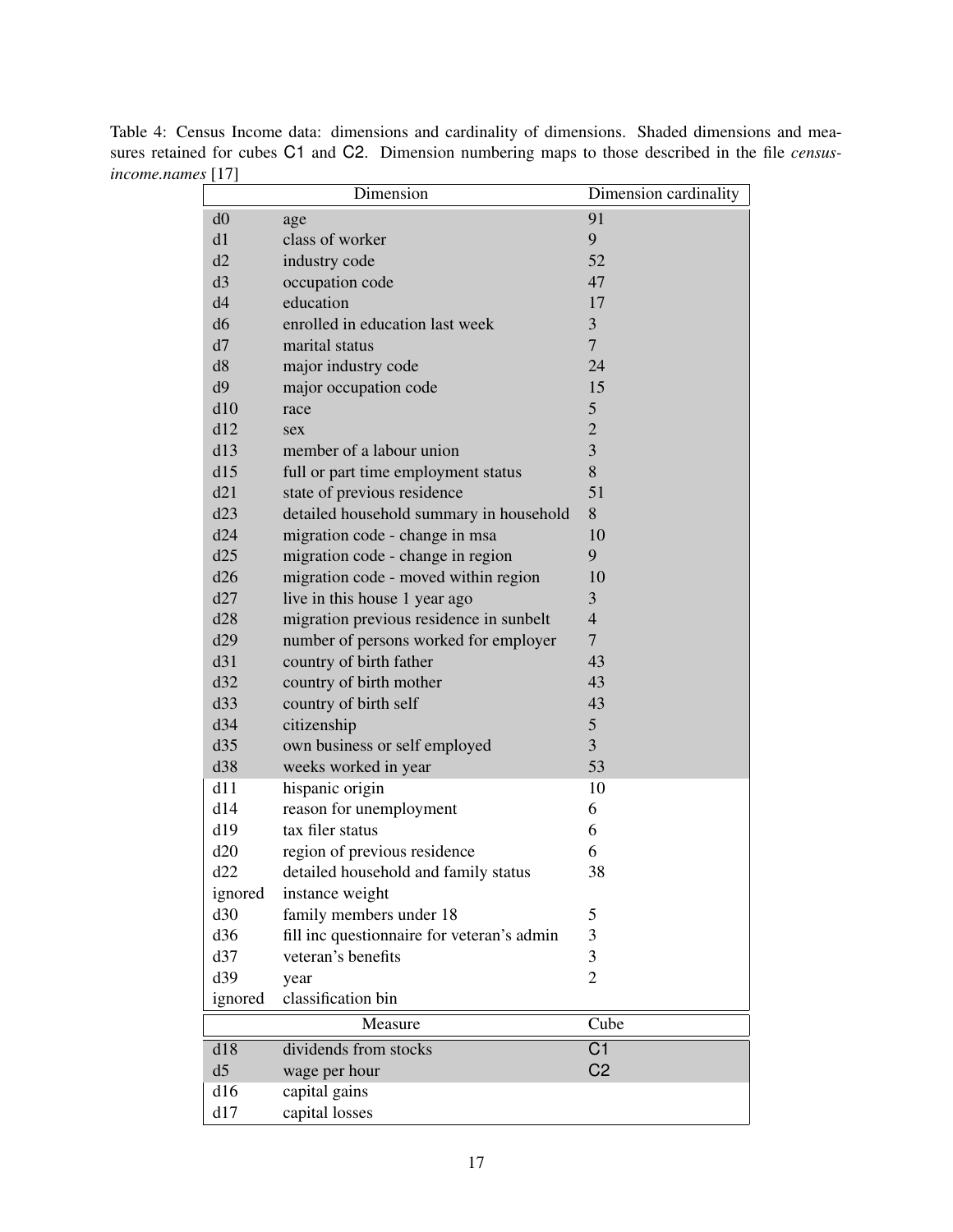<span id="page-16-0"></span>

| $\sim$ [iii]   | Dimension                                  | Dimension cardinality |
|----------------|--------------------------------------------|-----------------------|
| d0             | age                                        | 91                    |
| d1             | class of worker                            | 9                     |
| d2             | industry code                              | 52                    |
| d3             | occupation code                            | 47                    |
| d4             | education                                  | 17                    |
| d <sub>6</sub> | enrolled in education last week            | 3                     |
| d7             | marital status                             | $\overline{7}$        |
| d8             | major industry code                        | 24                    |
| d9             | major occupation code                      | 15                    |
| d10            | race                                       | 5                     |
| d12            | sex                                        | $\overline{2}$        |
| d13            | member of a labour union                   | 3                     |
| d15            | full or part time employment status        | 8                     |
| d21            | state of previous residence                | 51                    |
| d23            | detailed household summary in household    | 8                     |
| d24            | migration code - change in msa             | 10                    |
| d25            | migration code - change in region          | 9                     |
| d26            | migration code - moved within region       | 10                    |
| d27            | live in this house 1 year ago              | 3                     |
| d28            | migration previous residence in sunbelt    | $\overline{4}$        |
| d29            | number of persons worked for employer      | $\overline{7}$        |
| d31            | country of birth father                    | 43                    |
| d32            | country of birth mother                    | 43                    |
| d33            | country of birth self                      | 43                    |
| d34            | citizenship                                | 5                     |
| d35            | own business or self employed              | 3                     |
| d38            | weeks worked in year                       | 53                    |
| d11            | hispanic origin                            | 10                    |
| d14            | reason for unemployment                    | 6                     |
| d19            | tax filer status                           | 6                     |
| d20            | region of previous residence               | 6                     |
| d22            | detailed household and family status       | 38                    |
| ignored        | instance weight                            |                       |
| d30            | family members under 18                    | 5                     |
| d36            | fill inc questionnaire for veteran's admin | 3                     |
| d37            | veteran's benefits                         | 3                     |
| d39            | year                                       | $\overline{2}$        |
| ignored        | classification bin                         |                       |
|                | Measure                                    | Cube                  |
| d18            | dividends from stocks                      | C <sub>1</sub>        |
| d5             | wage per hour                              | C <sub>2</sub>        |
| d16            | capital gains                              |                       |
| d17            | capital losses                             |                       |

Table 4: Census Income data: dimensions and cardinality of dimensions. Shaded dimensions and measures retained for cubes C1 and C2. Dimension numbering maps to those described in the file *censusincome.names* [17]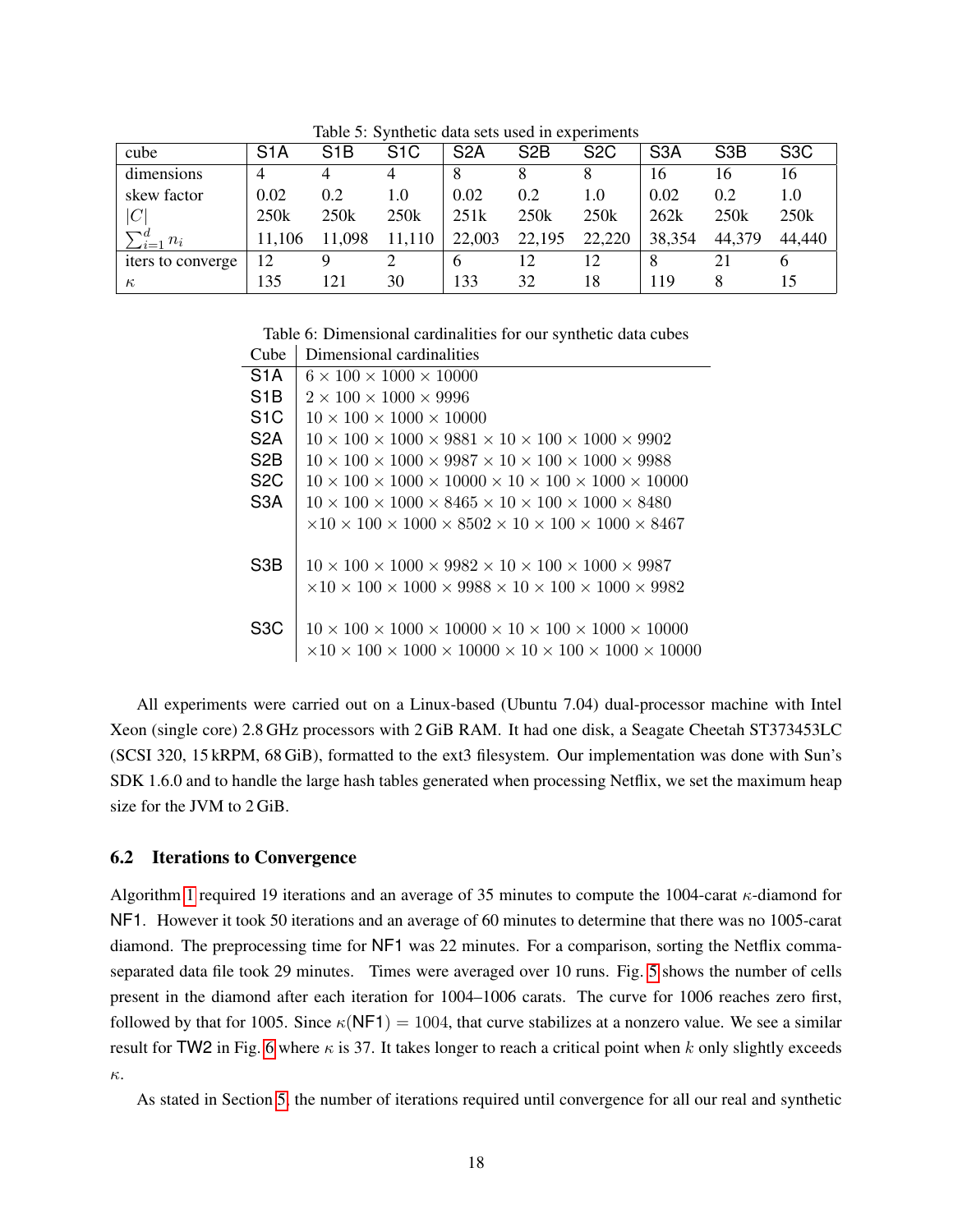| cube                              | S <sub>1</sub> A | S <sub>1</sub> B | S <sub>1</sub> C | S <sub>2</sub> A | S <sub>2</sub> B | S <sub>2</sub> C | S <sub>3</sub> A | S <sub>3</sub> B | S <sub>3</sub> C |
|-----------------------------------|------------------|------------------|------------------|------------------|------------------|------------------|------------------|------------------|------------------|
| dimensions                        | 4                |                  | 4                |                  |                  |                  | 16               | 16               | 16               |
| skew factor                       | 0.02             | 0.2              | 1.0              | 0.02             | 0.2              | 1.0              | 0.02             | 0.2              | 1.0              |
| C                                 | 250k             | 250k             | 250k             | 251k             | 250k             | 250k             | 262k             | 250k             | 250k             |
| $\Box$ d<br>$n_i$<br>$\sum_{i=1}$ | 11,106           | 11,098           | 11,110           | 22,003           | 22,195           | 22,220           | 38,354           | 44,379           | 44,440           |
| iters to converge                 | 12               |                  |                  | b                | 12               | 12.              |                  |                  | o                |
| $\kappa$                          | 135              | 121              | 30               | 133              | 32               | 18               | 119              |                  |                  |

<span id="page-17-0"></span>Table 5: Synthetic data sets used in experiments

<span id="page-17-1"></span>Table 6: Dimensional cardinalities for our synthetic data cubes Cube Dimensional cardinalities

| і принстання саганнанск                                                                                   |
|-----------------------------------------------------------------------------------------------------------|
| $6 \times 100 \times 1000 \times 10000$                                                                   |
| $2 \times 100 \times 1000 \times 9996$                                                                    |
| $10 \times 100 \times 1000 \times 10000$                                                                  |
| $10 \times 100 \times 1000 \times 9881 \times 10 \times 100 \times 1000 \times 9902$                      |
| $10 \times 100 \times 1000 \times 9987 \times 10 \times 100 \times 1000 \times 9988$                      |
| $10 \times 100 \times 1000 \times 10000 \times 10 \times 100 \times 1000 \times 10000$                    |
| $10 \times 100 \times 1000 \times 8465 \times 10 \times 100 \times 1000 \times 8480$                      |
| $\times$ 10 $\times$ 100 $\times$ 1000 $\times$ 8502 $\times$ 10 $\times$ 100 $\times$ 1000 $\times$ 8467 |
|                                                                                                           |
| $10 \times 100 \times 1000 \times 9982 \times 10 \times 100 \times 1000 \times 9987$                      |
| $\times$ 10 $\times$ 100 $\times$ 1000 $\times$ 9988 $\times$ 10 $\times$ 100 $\times$ 1000 $\times$ 9982 |
|                                                                                                           |
| $10 \times 100 \times 1000 \times 10000 \times 10 \times 100 \times 1000 \times 10000$                    |
| $\times 10 \times 100 \times 1000 \times 10000 \times 10 \times 100 \times 1000 \times 10000$             |
|                                                                                                           |

All experiments were carried out on a Linux-based (Ubuntu 7.04) dual-processor machine with Intel Xeon (single core) 2.8 GHz processors with 2 GiB RAM. It had one disk, a Seagate Cheetah ST373453LC (SCSI 320, 15 kRPM, 68 GiB), formatted to the ext3 filesystem. Our implementation was done with Sun's SDK 1.6.0 and to handle the large hash tables generated when processing Netflix, we set the maximum heap size for the JVM to 2 GiB.

### 6.2 Iterations to Convergence

Algorithm [1](#page-9-1) required 19 iterations and an average of 35 minutes to compute the 1004-carat  $\kappa$ -diamond for NF1. However it took 50 iterations and an average of 60 minutes to determine that there was no 1005-carat diamond. The preprocessing time for NF1 was 22 minutes. For a comparison, sorting the Netflix commaseparated data file took 29 minutes. Times were averaged over 10 runs. Fig. [5](#page-18-0) shows the number of cells present in the diamond after each iteration for 1004–1006 carats. The curve for 1006 reaches zero first, followed by that for 1005. Since  $\kappa(NF1) = 1004$ , that curve stabilizes at a nonzero value. We see a similar result for TW2 in Fig. [6](#page-18-1) where  $\kappa$  is 37. It takes longer to reach a critical point when k only slightly exceeds κ.

As stated in Section [5,](#page-9-2) the number of iterations required until convergence for all our real and synthetic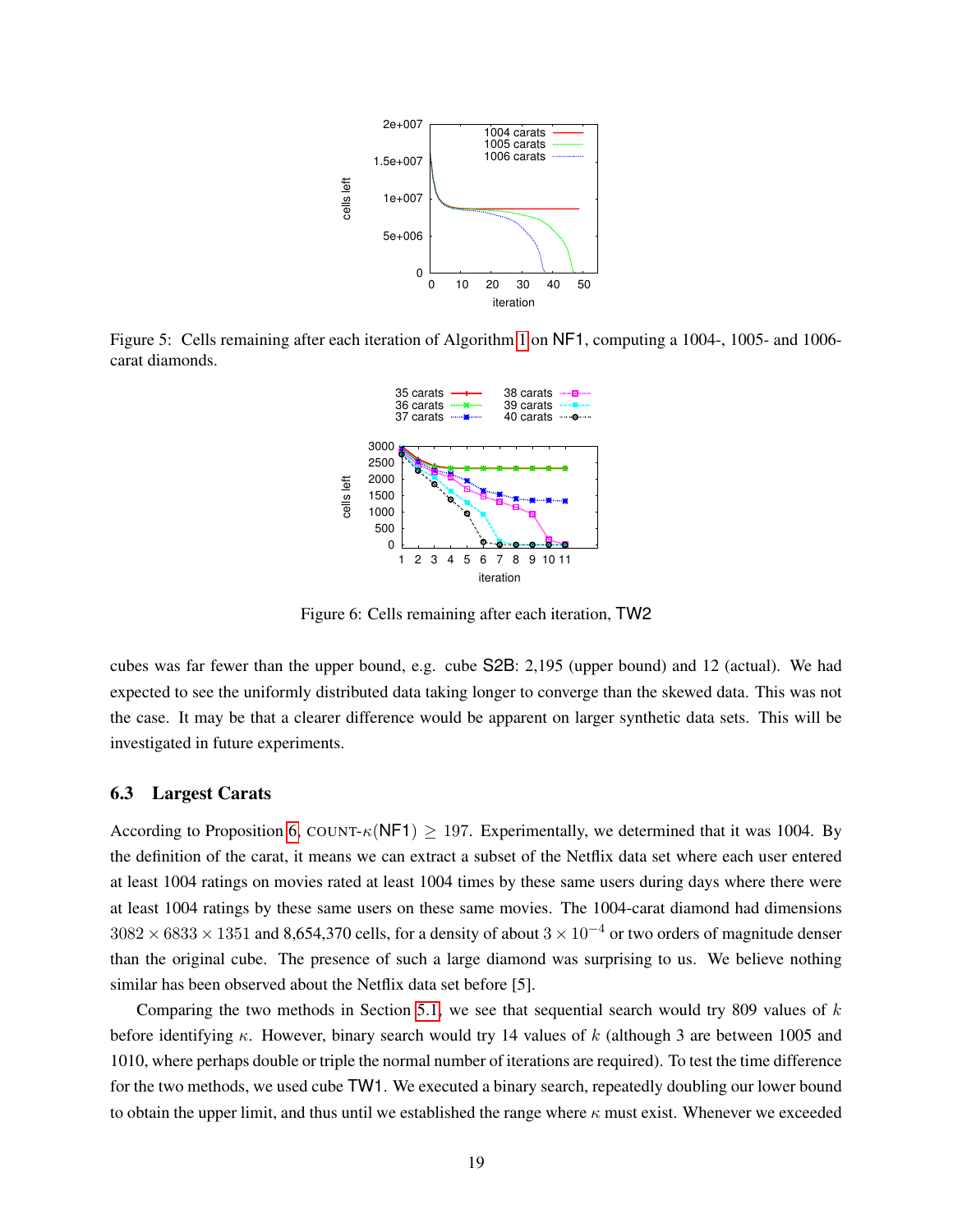

<span id="page-18-0"></span>Figure 5: Cells remaining after each iteration of Algorithm [1](#page-9-1) on NF1, computing a 1004-, 1005- and 1006 carat diamonds.



<span id="page-18-1"></span>Figure 6: Cells remaining after each iteration, TW2

cubes was far fewer than the upper bound, e.g. cube S2B: 2,195 (upper bound) and 12 (actual). We had expected to see the uniformly distributed data taking longer to converge than the skewed data. This was not the case. It may be that a clearer difference would be apparent on larger synthetic data sets. This will be investigated in future experiments.

### 6.3 Largest Carats

According to Proposition [6,](#page-6-0) COUNT- $\kappa$ (NF1) > 197. Experimentally, we determined that it was 1004. By the definition of the carat, it means we can extract a subset of the Netflix data set where each user entered at least 1004 ratings on movies rated at least 1004 times by these same users during days where there were at least 1004 ratings by these same users on these same movies. The 1004-carat diamond had dimensions  $3082 \times 6833 \times 1351$  and 8,654,370 cells, for a density of about  $3 \times 10^{-4}$  or two orders of magnitude denser than the original cube. The presence of such a large diamond was surprising to us. We believe nothing similar has been observed about the Netflix data set before [5].

Comparing the two methods in Section [5.1,](#page-11-1) we see that sequential search would try 809 values of  $k$ before identifying  $\kappa$ . However, binary search would try 14 values of k (although 3 are between 1005 and 1010, where perhaps double or triple the normal number of iterations are required). To test the time difference for the two methods, we used cube TW1. We executed a binary search, repeatedly doubling our lower bound to obtain the upper limit, and thus until we established the range where  $\kappa$  must exist. Whenever we exceeded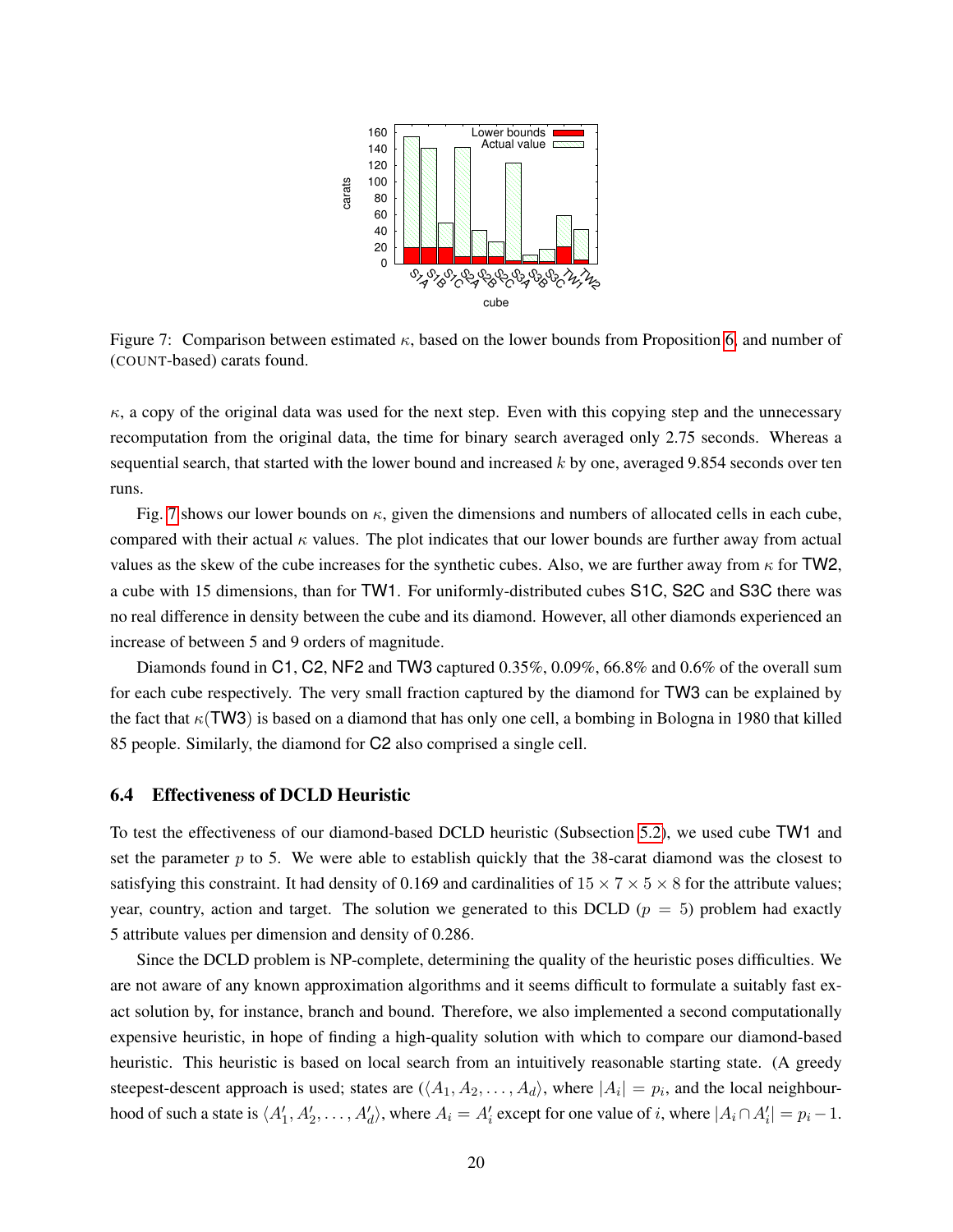

<span id="page-19-0"></span>Figure 7: Comparison between estimated  $\kappa$ , based on the lower bounds from Proposition [6,](#page-6-0) and number of (COUNT-based) carats found.

 $\kappa$ , a copy of the original data was used for the next step. Even with this copying step and the unnecessary recomputation from the original data, the time for binary search averaged only 2.75 seconds. Whereas a sequential search, that started with the lower bound and increased  $k$  by one, averaged 9.854 seconds over ten runs.

Fig. [7](#page-19-0) shows our lower bounds on  $\kappa$ , given the dimensions and numbers of allocated cells in each cube, compared with their actual  $\kappa$  values. The plot indicates that our lower bounds are further away from actual values as the skew of the cube increases for the synthetic cubes. Also, we are further away from  $\kappa$  for TW2, a cube with 15 dimensions, than for TW1. For uniformly-distributed cubes S1C, S2C and S3C there was no real difference in density between the cube and its diamond. However, all other diamonds experienced an increase of between 5 and 9 orders of magnitude.

Diamonds found in C1, C2, NF2 and TW3 captured 0.35%, 0.09%, 66.8% and 0.6% of the overall sum for each cube respectively. The very small fraction captured by the diamond for TW3 can be explained by the fact that  $\kappa$ (TW3) is based on a diamond that has only one cell, a bombing in Bologna in 1980 that killed 85 people. Similarly, the diamond for C2 also comprised a single cell.

### 6.4 Effectiveness of DCLD Heuristic

To test the effectiveness of our diamond-based DCLD heuristic (Subsection [5.2\)](#page-12-1), we used cube TW1 and set the parameter  $p$  to 5. We were able to establish quickly that the 38-carat diamond was the closest to satisfying this constraint. It had density of 0.169 and cardinalities of  $15 \times 7 \times 5 \times 8$  for the attribute values; year, country, action and target. The solution we generated to this DCLD ( $p = 5$ ) problem had exactly 5 attribute values per dimension and density of 0.286.

Since the DCLD problem is NP-complete, determining the quality of the heuristic poses difficulties. We are not aware of any known approximation algorithms and it seems difficult to formulate a suitably fast exact solution by, for instance, branch and bound. Therefore, we also implemented a second computationally expensive heuristic, in hope of finding a high-quality solution with which to compare our diamond-based heuristic. This heuristic is based on local search from an intuitively reasonable starting state. (A greedy steepest-descent approach is used; states are  $(\langle A_1, A_2, \ldots, A_d \rangle)$ , where  $|A_i| = p_i$ , and the local neighbourhood of such a state is  $\langle A'_1, A'_2, \ldots, A'_d \rangle$ , where  $A_i = A'_i$  except for one value of i, where  $|A_i \cap A'_i| = p_i - 1$ .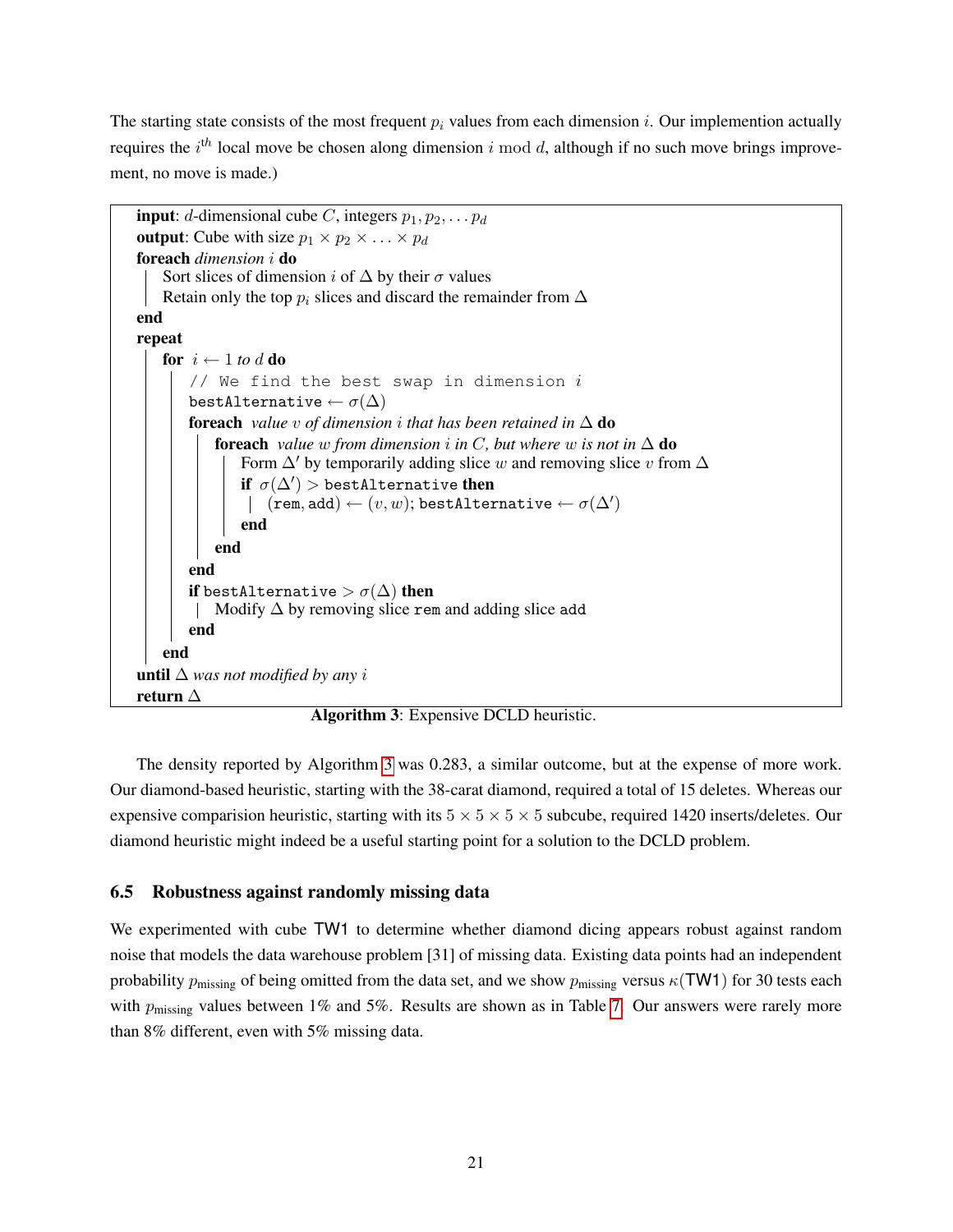The starting state consists of the most frequent  $p_i$  values from each dimension i. Our implemention actually requires the  $i<sup>th</sup>$  local move be chosen along dimension i mod d, although if no such move brings improvement, no move is made.)

```
input: d-dimensional cube C, integers p_1, p_2, \ldots, p_doutput: Cube with size p_1 \times p_2 \times \ldots \times p_dforeach dimension i do
    Sort slices of dimension i of \Delta by their \sigma values
    Retain only the top p_i slices and discard the remainder from \Deltaend
repeat
    for i \leftarrow 1 to d do
         // We find the best swap in dimension ibestAlternative \leftarrow \sigma(\Delta)foreach value v of dimension i that has been retained in \Delta do
             foreach value w from dimension i in C, but where w is not in \Delta do
                 Form \Delta' by temporarily adding slice w and removing slice v from \Deltaif \sigma(\Delta') > bestAlternative then
                      (\mathop{\mathsf{rem}}, \mathop{\mathsf{add}}) \leftarrow (v, w) ; \mathop{\mathsf{bestAlternative}} \leftarrow \sigma(\Delta')end
             end
         end
        if bestAlternative > \sigma(\Delta) then
         \parallel Modify \Delta by removing slice rem and adding slice add
        end
    end
until ∆ was not modified by any ireturn ∆
```
Algorithm 3: Expensive DCLD heuristic.

The density reported by Algorithm [3](#page-20-1) was 0.283, a similar outcome, but at the expense of more work. Our diamond-based heuristic, starting with the 38-carat diamond, required a total of 15 deletes. Whereas our expensive comparision heuristic, starting with its  $5 \times 5 \times 5 \times 5$  subcube, required 1420 inserts/deletes. Our diamond heuristic might indeed be a useful starting point for a solution to the DCLD problem.

## <span id="page-20-0"></span>6.5 Robustness against randomly missing data

We experimented with cube TW1 to determine whether diamond dicing appears robust against random noise that models the data warehouse problem [31] of missing data. Existing data points had an independent probability  $p_{\text{missing}}$  of being omitted from the data set, and we show  $p_{\text{missing}}$  versus  $\kappa(TW1)$  for 30 tests each with  $p_{\text{missing}}$  values between 1% and 5%. Results are shown as in Table [7.](#page-21-0) Our answers were rarely more than 8% different, even with 5% missing data.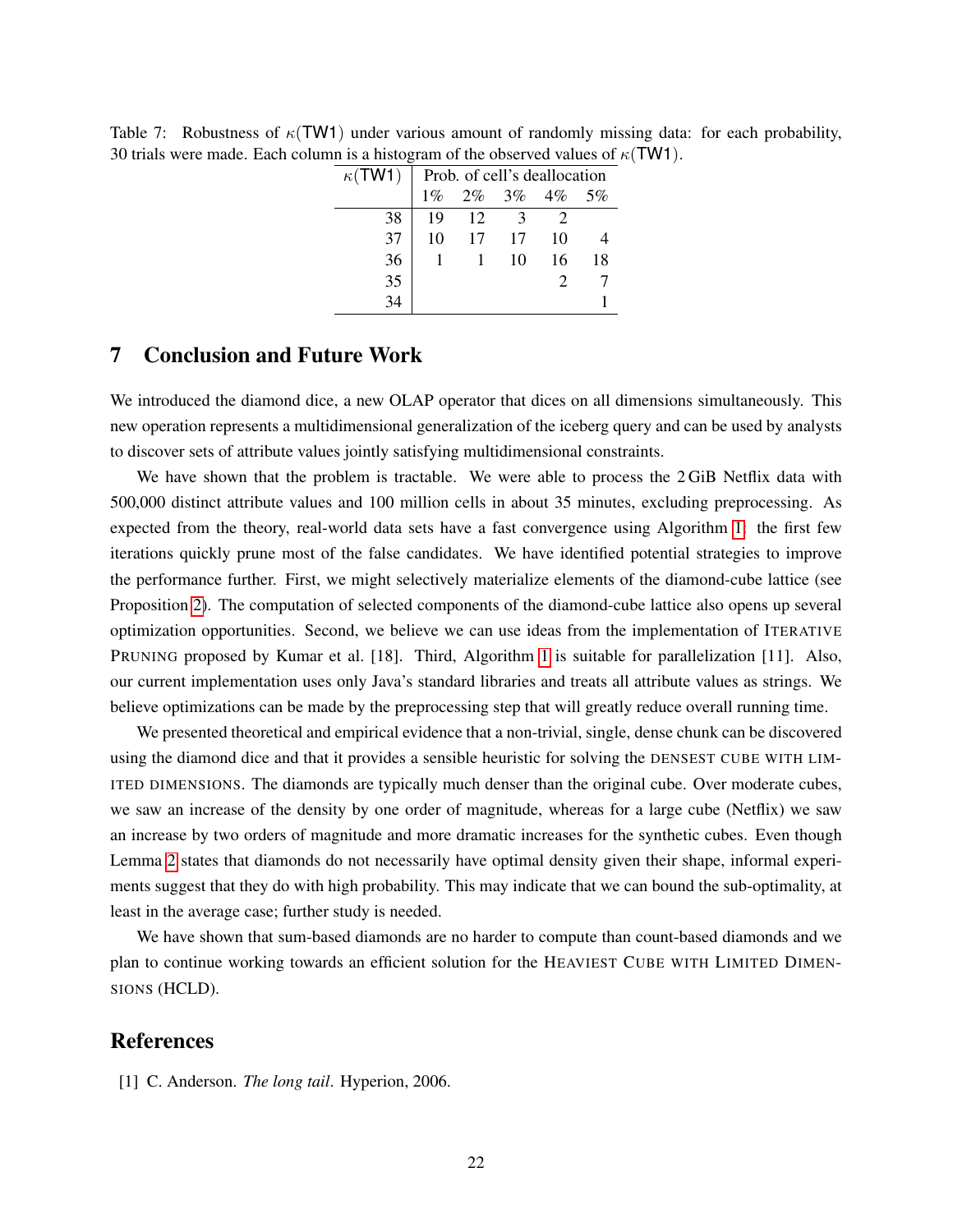| $\kappa$ (TW1) | Prob. of cell's deallocation |    |             |       |    |  |  |
|----------------|------------------------------|----|-------------|-------|----|--|--|
|                | $1\%$                        |    | $2\% - 3\%$ | $4\%$ | 5% |  |  |
| 38             | 19                           | 12 | 3           |       |    |  |  |
| 37             | 10                           | 17 | 17          | 10    |    |  |  |
| 36             |                              |    | 10          | 16    | 18 |  |  |
| 35             |                              |    |             |       |    |  |  |
|                |                              |    |             |       |    |  |  |

<span id="page-21-0"></span>Table 7: Robustness of  $\kappa(TW1)$  under various amount of randomly missing data: for each probability, 30 trials were made. Each column is a histogram of the observed values of  $\kappa$ (TW1).

## 7 Conclusion and Future Work

We introduced the diamond dice, a new OLAP operator that dices on all dimensions simultaneously. This new operation represents a multidimensional generalization of the iceberg query and can be used by analysts to discover sets of attribute values jointly satisfying multidimensional constraints.

We have shown that the problem is tractable. We were able to process the 2 GiB Netflix data with 500,000 distinct attribute values and 100 million cells in about 35 minutes, excluding preprocessing. As expected from the theory, real-world data sets have a fast convergence using Algorithm [1:](#page-9-1) the first few iterations quickly prune most of the false candidates. We have identified potential strategies to improve the performance further. First, we might selectively materialize elements of the diamond-cube lattice (see Proposition [2\)](#page-3-1). The computation of selected components of the diamond-cube lattice also opens up several optimization opportunities. Second, we believe we can use ideas from the implementation of ITERATIVE PRUNING proposed by Kumar et al. [18]. Third, Algorithm [1](#page-9-1) is suitable for parallelization [11]. Also, our current implementation uses only Java's standard libraries and treats all attribute values as strings. We believe optimizations can be made by the preprocessing step that will greatly reduce overall running time.

We presented theoretical and empirical evidence that a non-trivial, single, dense chunk can be discovered using the diamond dice and that it provides a sensible heuristic for solving the DENSEST CUBE WITH LIM-ITED DIMENSIONS. The diamonds are typically much denser than the original cube. Over moderate cubes, we saw an increase of the density by one order of magnitude, whereas for a large cube (Netflix) we saw an increase by two orders of magnitude and more dramatic increases for the synthetic cubes. Even though Lemma [2](#page-7-0) states that diamonds do not necessarily have optimal density given their shape, informal experiments suggest that they do with high probability. This may indicate that we can bound the sub-optimality, at least in the average case; further study is needed.

We have shown that sum-based diamonds are no harder to compute than count-based diamonds and we plan to continue working towards an efficient solution for the HEAVIEST CUBE WITH LIMITED DIMEN-SIONS (HCLD).

## References

[1] C. Anderson. *The long tail*. Hyperion, 2006.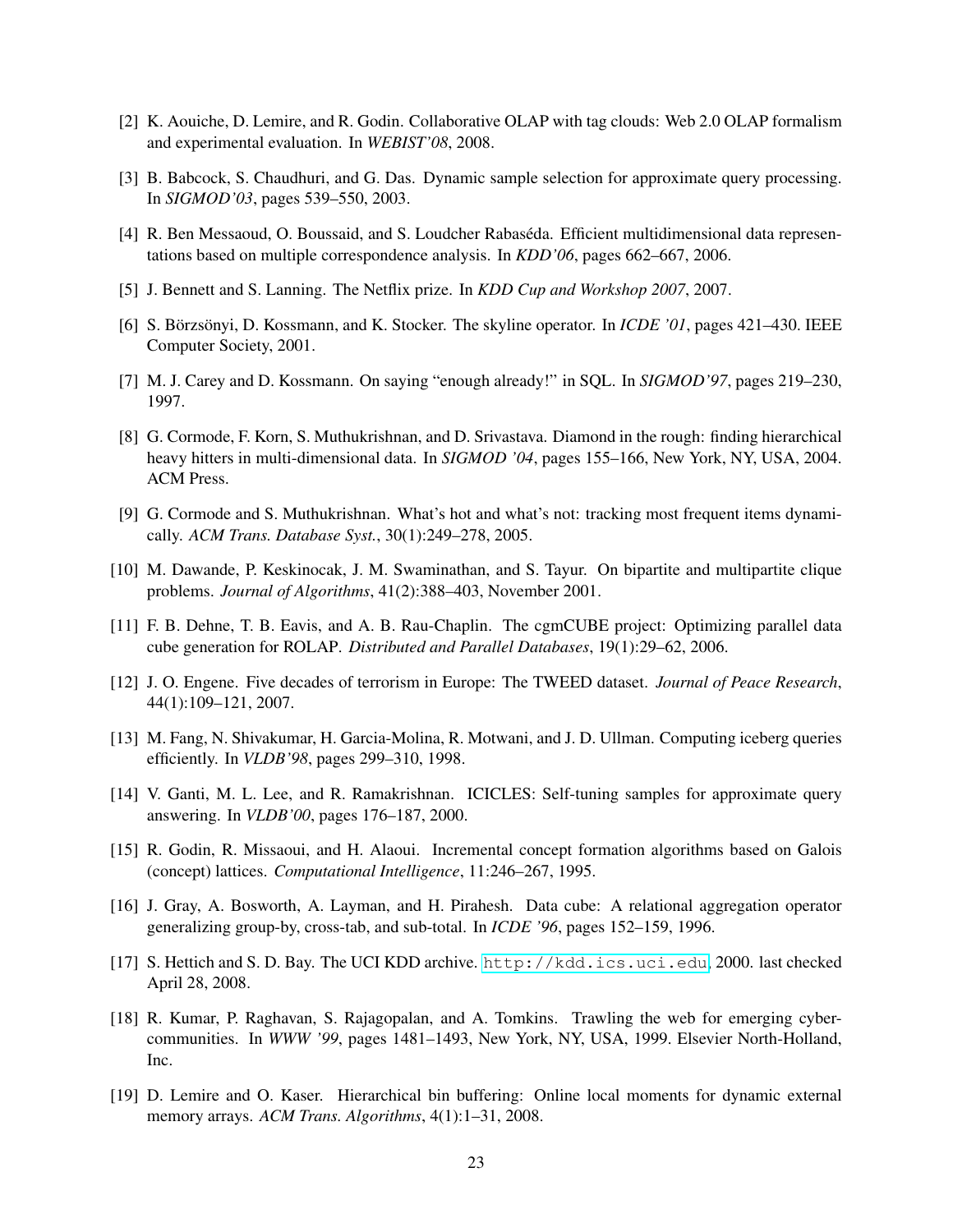- [2] K. Aouiche, D. Lemire, and R. Godin. Collaborative OLAP with tag clouds: Web 2.0 OLAP formalism and experimental evaluation. In *WEBIST'08*, 2008.
- [3] B. Babcock, S. Chaudhuri, and G. Das. Dynamic sample selection for approximate query processing. In *SIGMOD'03*, pages 539–550, 2003.
- [4] R. Ben Messaoud, O. Boussaid, and S. Loudcher Rabaséda. Efficient multidimensional data representations based on multiple correspondence analysis. In *KDD'06*, pages 662–667, 2006.
- [5] J. Bennett and S. Lanning. The Netflix prize. In *KDD Cup and Workshop 2007*, 2007.
- [6] S. Börzsönyi, D. Kossmann, and K. Stocker. The skyline operator. In *ICDE '01*, pages 421–430. IEEE Computer Society, 2001.
- [7] M. J. Carey and D. Kossmann. On saying "enough already!" in SQL. In *SIGMOD'97*, pages 219–230, 1997.
- [8] G. Cormode, F. Korn, S. Muthukrishnan, and D. Srivastava. Diamond in the rough: finding hierarchical heavy hitters in multi-dimensional data. In *SIGMOD '04*, pages 155–166, New York, NY, USA, 2004. ACM Press.
- [9] G. Cormode and S. Muthukrishnan. What's hot and what's not: tracking most frequent items dynamically. *ACM Trans. Database Syst.*, 30(1):249–278, 2005.
- [10] M. Dawande, P. Keskinocak, J. M. Swaminathan, and S. Tayur. On bipartite and multipartite clique problems. *Journal of Algorithms*, 41(2):388–403, November 2001.
- [11] F. B. Dehne, T. B. Eavis, and A. B. Rau-Chaplin. The cgmCUBE project: Optimizing parallel data cube generation for ROLAP. *Distributed and Parallel Databases*, 19(1):29–62, 2006.
- [12] J. O. Engene. Five decades of terrorism in Europe: The TWEED dataset. *Journal of Peace Research*, 44(1):109–121, 2007.
- [13] M. Fang, N. Shivakumar, H. Garcia-Molina, R. Motwani, and J. D. Ullman. Computing iceberg queries efficiently. In *VLDB'98*, pages 299–310, 1998.
- [14] V. Ganti, M. L. Lee, and R. Ramakrishnan. ICICLES: Self-tuning samples for approximate query answering. In *VLDB'00*, pages 176–187, 2000.
- [15] R. Godin, R. Missaoui, and H. Alaoui. Incremental concept formation algorithms based on Galois (concept) lattices. *Computational Intelligence*, 11:246–267, 1995.
- [16] J. Gray, A. Bosworth, A. Layman, and H. Pirahesh. Data cube: A relational aggregation operator generalizing group-by, cross-tab, and sub-total. In *ICDE '96*, pages 152–159, 1996.
- [17] S. Hettich and S. D. Bay. The UCI KDD archive. <http://kdd.ics.uci.edu>, 2000. last checked April 28, 2008.
- [18] R. Kumar, P. Raghavan, S. Rajagopalan, and A. Tomkins. Trawling the web for emerging cybercommunities. In *WWW '99*, pages 1481–1493, New York, NY, USA, 1999. Elsevier North-Holland, Inc.
- [19] D. Lemire and O. Kaser. Hierarchical bin buffering: Online local moments for dynamic external memory arrays. *ACM Trans. Algorithms*, 4(1):1–31, 2008.